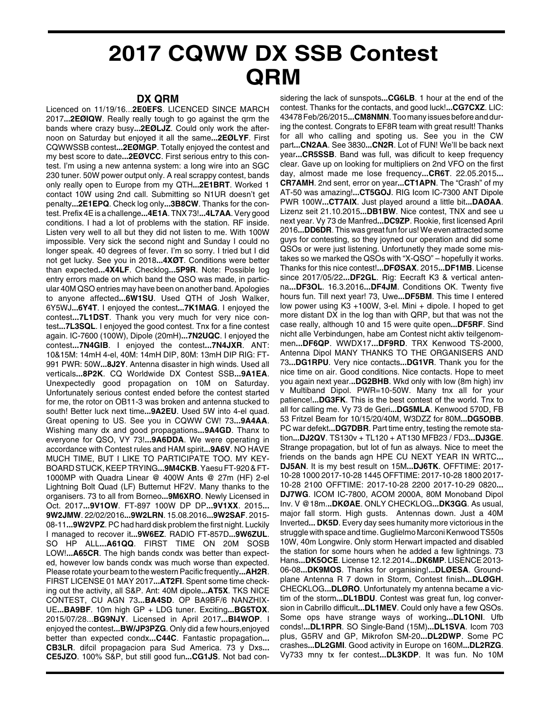## **2017 CQWW DX SSB Contest QRM**

## **DX QRM**

Licenced on 11/19/16...**2E0EFS**. LICENCED SINCE MARCH 2017**...2EØIQW**. Really really tough to go against the qrm the bands where crazy busy**...2EØLJZ**. Could only work the afternoon on Saturday but enjoyed it all the same**...2EØLYF**. First CQWWSSB contest**...2EØMGP**. Totally enjoyed the contest and my best score to date**...2EØVCC**. First serious entry to this contest. I'm using a new antenna system: a long wire into an SGC 230 tuner. 50W power output only. A real scrappy contest, bands only really open to Europe from my QTH**...2E1BRT**. Worked 1 contact 10W using 2nd call. Submitting so N1UR doesn't get penalty**...2E1EPQ**. Check log only**...3B8CW**. Thanks for the contest. Prefix 4E is a challenge**...4E1A**. TNX 73!**...4L7AA**. Very good conditions. I had a lot of problems with the station. RF inside. Listen very well to all but they did not listen to me. With 100W impossible. Very sick the second night and Sunday I could no longer speak. 40 degrees of fever. I'm so sorry. I tried but I did not get lucky. See you in 2018**...4XØT**. Conditions were better than expected**...4X4LF**. Checklog**...5P9R**. Note: Possible log entry errors made on which band the QSO was made, in particular 40M QSO entries may have been on another band. Apologies to anyone affected**...6W1SU**. Used QTH of Josh Walker, 6Y5WJ**...6Y4T**. I enjoyed the contest**...7K1MAG**. I enjoyed the contest**...7L1DST**. Thank you very much for very nice contest**...7L3SQL**. I enjoyed the good contest. Tnx for a fine contest again. IC-7600 (100W), Dipole (20mH)**...7N2UQC**. I enjoyed the contest**...7N4GIB**. I enjoyed the contest**...7N4JXR**. ANT: 10&15M: 14mH 4-el, 40M: 14mH DIP, 80M: 13mH DIP RIG: FT-991 PWR: 50W**...8J2Y**. Antenna disaster in high winds. Used all verticals**...8P2K**. CQ Worldwide DX Contest SSB**...9A1EA**. Unexpectedly good propagation on 10M on Saturday. Unfortunately serious contest ended before the contest started for me, the rotor on OB11-3 was broken and antenna stucked to south! Better luck next time**...9A2EU**. Used 5W into 4-el quad. Great opening to US. See you in CQWW CW! 73**...9A4AA**. Wishing many dx and good propagations**...9A4GD**. Thanx to everyone for QSO, VY 73!**...9A6DDA**. We were operating in accordance with Contest rules and HAM spirit**...9A6V**. NO HAVE MUCH TIME, BUT I LIKE TO PARTICIPATE TOO. MY KEY-BOARD STUCK, KEEP TRYING**...9M4CKB**. Yaesu FT-920 & FT-1000MP with Quadra Linear @ 400W Ants @ 27m (HF) 2-el Lightning Bolt Quad (LF) Butternut HF2V. Many thanks to the organisers. 73 to all from Borneo**...9M6XRO**. Newly Licensed in Oct. 2017**...9V1OW**. FT-897 100W DP DP**...9V1XX**. 2015**... 9W2JMW**. 22/02/2016**...9W2LRN**. 15.08.2016**...9W2SAF**. 2015- 08-11**...9W2VPZ**. PC had hard disk problem the first night. Luckily I managed to recover it**...9W6EZ**. RADIO FT-857D**...9W6ZUL**. SO HP ALL**...A61QQ**. FIRST TIME ON 20M SOSB LOW!**...A65CR**. The high bands condx was better than expected, however low bands condx was much worse than expected. Please rotate your beam to the western Pacific frequently**...AH2R**. FIRST LICENSE 01 MAY 2017**...AT2FI**. Spent some time checking out the activity, all S&P. Ant: 40M dipole**...AT5X**. TKS NICE CONTEST, CU AGN 73**...BA4SD**. OP BA9BF/6 NANZHIX-UE**...BA9BF**. 10m high GP + LDG tuner. Exciting**...BG5TOX**. 2015/07/28...**BG9NJY**. Licensed in April 2017**...BI4WOP**. I enjoyed the contest**...BW/JP3PZG**. Only did a few hours,enjoyed better than expected condx**...C44C**. Fantastic propagation**... CB3LR**. difcil propagacion para Sud America. 73 y Dxs**... CE5JZO**. 100% S&P, but still good fun**...CG1JS**. Not bad con-

sidering the lack of sunspots**...CG6LB**. 1 hour at the end of the contest. Thanks for the contacts, and good luck!**...CG7CXZ**. LIC: 43478 Feb/26/2015**...CM8NMN**. Too many issues before and during the contest. Congrats to EF8R team with great result! Thanks for all who calling and spoting us. See you in the CW part**...CN2AA**. See 3830**...CN2R**. Lot of FUN! We'll be back next year**...CR5SSB**. Band was full, was dificult to keep frequency clear. Gave up on looking for multipliers on 2nd VFO on the first day, almost made me lose frequency**...CR6T**. 22.05.2015**... CR7AMH**. 2nd sent, error on year**...CT1APN**. The "Crash" of my AT-50 was amazing!**...CT5GOJ**. RIG Icom IC-7300 ANT Dipole PWR 100W**...CT7AIX**. Just played around a little bit**...DAØAA**. Lizenz seit 21.10.2015**...DB1BW**. Nice contest, TNX and see u next year. Vy 73 de Manfred**...DC9ZP**. Rookie, first licensed April 2016**...DD6DR**. This was great fun for us! We even attracted some guys for contesting, so they joyned our operation and did some QSOs or were just listening. Unfortunetly they made some mistakes so we marked the QSOs with "X-QSO" – hopefully it works. Thanks for this nice contest!**...DFØSAX**. 2015**...DF1MB**. License since 2017/05/22**...DF2GL**. Rig: Eecraft K3 & vertical antenna**...DF3OL**. 16.3.2016**...DF4JM**. Conditions OK. Twenty five hours fun. Till next year! 73, Uwe**...DF5BM**. This time I entered low power using K3 +100W, 3-el. Mini + dipole. I hoped to get more distant DX in the log than with QRP, but that was not the case really, although 10 and 15 were quite open**...DF5RF**. Sind nicht alle Verbindungen, habe am Contest nicht aktiv teilgenommen**...DF6QP**. WWDX17**...DF9RD**. TRX Kenwood TS-2000, Antenna Dipol MANY THANKS TO THE ORGANISERS AND 73**...DG1RPU**. Very nice contacts**...DG1VR**. Thank you for the nice time on air. Good conditions. Nice contacts. Hope to meet you again next year.**..DG2BHB**. Wkd only with low (8m high) inv v Multiband Dipol. PWR=10-50W. Many tnx all for your patience!**...DG3FK**. This is the best contest of the world. Tnx to all for calling me. Vy 73 de Geri**...DG5MLA**. Kenwood 570D, FB 53 Fritzel Beam for 10/15/20/40M, W3DZZ for 80M**...DG5OBB**. PC war defekt**...DG7DBR**. Part time entry, testing the remote station**...DJ2QV**. TS130v + TL120 + AT130 MFB23 / FD3**...DJ3GE**. Strange propagation, but lot of fun as always. Nice to meet the friends on the bands agn HPE CU NEXT YEAR IN WRTC**... DJ5AN**. It is my best result on 15M**...DJ6TK**. OFFTIME: 2017- 10-28 1000 2017-10-28 1445 OFFTIME: 2017-10-28 1800 2017- 10-28 2100 OFFTIME: 2017-10-28 2200 2017-10-29 0820**... DJ7WG**. ICOM IC-7800, ACOM 2000A, 80M Monoband Dipol Inv. V @18m.**..DKØAE**. ONLY CHECKLOG**...DK3GG**. As usual, major fall storm. High gusts. Antennas down. Just a 40M Inverted**... DK5D**. Every day sees humanity more victorious in the struggle with space and time. Guglielmo Marconi Kenwood TS50s 10W, 40m Longwire. Only storm Herwart impacted and disabled the station for some hours when he added a few lightnings. 73 Hans**...DK5OCE**. License 12.12.2014**...DK6MP**. LISENCE 2013- 06-08**...DK9MOS**. Thanks for organising!**...DLØESA**. Groundplane Antenna R 7 down in Storm, Contest finish**...DLØGH**. CHECKLOG**...DLØRO**. Unfortunately my antenna became a victim of the storm**...DL1BDU**. Contest was great fun, log conversion in Cabrillo difficult**...DL1MEV**. Could only have a few QSOs. Some ops have strange ways of working**...DL1ONI**. Ufb conds!**...DL1RPR**. SO Single-Band (15M)**...DL1SVA**. Icom 703 plus, G5RV and GP, Mikrofon SM-20**...DL2DWP**. Some PC crashes**...DL2GMI**. Good activity in Europe on 160M**...DL2RZG**. Vy733 mny tx fer contest**...DL3KDP**. It was fun. No 10M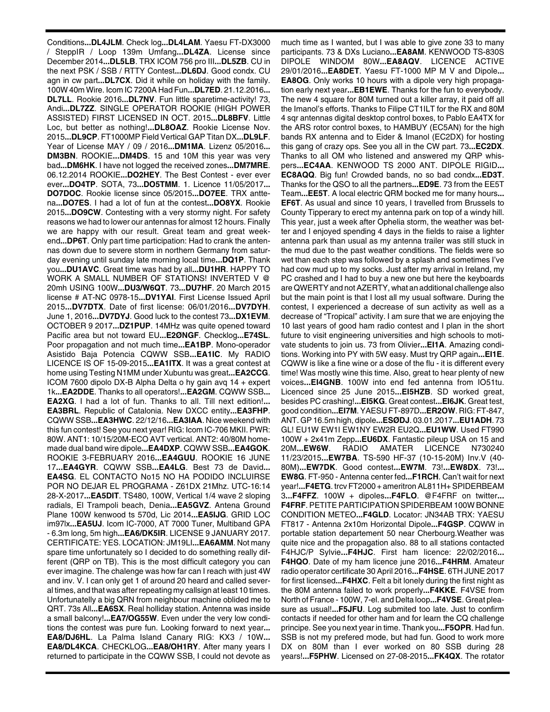Conditions**...DL4JLM**. Check log**...DL4LAM**. Yaesu FT-DX3000 / SteppIR / Loop 139m Umfang**...DL4ZA**. License since December 2014**...DL5LB**. TRX ICOM 756 pro III**...DL5ZB**. CU in the next PSK / SSB / RTTY Contest**...DL6DJ**. Good condx. CU agn in cw part**...DL7CX**. Did it while on holiday with the family. 100W 40m Wire. Icom IC 7200A Had Fun**...DL7ED**. 21.12.2016**... DL7LL**. Rookie 2016**...DL7NV**. Fun little sparetime-activity! 73, Andi**...DL7ZZ**. SINGLE OPERATOR ROOKIE (HIGH POWER ASSISTED) FIRST LICENSED IN OCT. 2015**...DL8BFV**. Little Loc, but better as nothing!**...DL8OAZ**. Rookie License Nov. 2015**...DL9CP**. FT1000MP Field Vertical GAP Titan DX**...DL9LF**. Year of License MAY / 09 / 2016**...DM1MA**. Lizenz 05/2016**... DM3BN**. ROOKIE**...DM4DS**. 15 and 10M this year was very bad**...DM6HK**. I have not logged the received zones**...DM7MRE**. 06.12.2014 ROOKIE**...DO2HEY**. The Best Contest - ever ever ever**...DO4TP**. SOTA, 73**...DO5TMM**. 1. Licence 11/05/2017**... DO7DOC**. Rookie license since 05/2015**...DO7EE**. TRX anttena**...DO7ES**. I had a lot of fun at the contest**...DO8YX**. Rookie 2015**...DO9CW**. Contesting with a very stormy night. For safety reasons we had to lower our antennas for almost 12 hours. Finally we are happy with our result. Great team and great weekend**...DP6T**. Only part time participation: Had to crank the antennas down due to severe storm in northern Germany from saturday evening until sunday late morning local time**...DQ1P**. Thank you**...DU1AVC**. Great time was had by all**...DU1HR**. HAPPY TO WORK A SMALL NUMBER OF STATIONS! INVERTED V @ 20mh USING 100W**...DU3/W6QT**. 73**...DU7HF**. 20 March 2015 license # AT-NC 0978-15**...DV1YAI**. First License Issued April 2015**...DV7DTX**. Date of first license: 06/01/2016**...DV7DYH**. June 1, 2016**...DV7DYJ**. Good luck to the contest 73**...DX1EVM**. OCTOBER 9 2017**...DZ1PUP**. 14MHz was quite opened toward Pacific area but not toward EU**...E2ØNGF**. Checklog**...E74SL**. Poor propagation and not much time**...EA1BP**. Mono-operador Asistido Baja Potencia CQWW SSB**...EA1IC**. My RADIO LICENCE IS OF 15-09-2015**...EA1ITX**. It was a great contest at home using Testing N1MM under Xubuntu was great**...EA2CCG**. ICOM 7600 dipolo DX-B Alpha Delta o hy gain avq 14 + expert 1k**...EA2DDE**. Thanks to all operators!**...EA2GM**. CQWW SSB**... EA2XG**. I had a lot of fun. Thanks to all. Till next edition!**... EA3BRL**. Republic of Catalonia. New DXCC entity**...EA3FHP**. CQWW SSB**...EA3HWC**. 22/12/16**...EA3IAA**. Nice weekend with this fun contest! See you next year! RIG: Icom IC-706 MKII. PWR: 80W. ANT1: 10/15/20M-ECO AVT vertical. ANT2: 40/80M homemade dual band wire dipole**...EA4DXP**. CQWW SSB**...EA4GOK**. ROOKIE 3-FEBRUARY 2016**...EA4GUU**. ROOKIE 16 JUNE 17**...EA4GYR**. CQWW SSB**...EA4LG**. Best 73 de David**... EA4SG**. EL CONTACTO No15 NO HA PODIDO INCLUIRSE POR NO DEJAR EL PROGRAMA - Z61DX 21Mhz. UTC-16:14 28-X-2017**...EA5DIT**. TS480, 100W, Vertical 1/4 wave 2 sloping radials, El Trampoli beach, Denia**...EA5GVZ**. Antena Ground Plane 100W kenwood ts 570d, Lic 2014**...EA5IJG**. GRID LOC im97lx**...EA5UJ**. Icom IC-7000, AT 7000 Tuner, Multiband GPA - 6.3m long, 5m high**...EA6/DK5IR**. LICENSE 9 JANUARY 2017. CERTIFICATE: YES. LOCATION: JM19LI**...EA6AMM**. Not many spare time unfortunately so I decided to do something really different (QRP on TB). This is the most difficult category you can ever imagine. The chalenge was how far can I reach with just 4W and inv. V. I can only get 1 of around 20 heard and called several times, and that was after repeating my callsign at least 10 times. Unfortunatelly a big QRN from neighbour machine oblided me to QRT. 73s All**...EA6SX**. Real holliday station. Antenna was inside a small balcony!**...EA7/OG55W**. Even under the very low conditions the contest was pure fun. Looking forward to next year**... EA8/DJ6HL**. La Palma Island Canary RIG: KX3 / 10W**... EA8/DL4KCA**. CHECKLOG**...EA8/OH1RY**. After many years I returned to participate in the CQWW SSB, I could not devote as much time as I wanted, but I was able to give zone 33 to many participants. 73 & DXs Luciano**...EA8AM**. KENWOOD TS-830S DIPOLE WINDOM 80W**...EA8AQV**. LICENCE ACTIVE 29/01/2016**...EA8DET**. Yaesu FT-1000 MP M V and Dipole**... EA8OG**. Only works 10 hours with a dipole very high propagation early next year**...EB1EWE**. Thanks for the fun to everybody. The new 4 square for 80M turned out a killer array, it paid off all the Imanol's efforts. Thanks to Filipe CT1ILT for the RX and 80M 4 sqr antennas digital desktop control boxes, to Pablo EA4TX for the ARS rotor control boxes, to HAMBUY (EC5AN) for the high bands RX antenna and to Eider & Imanol (EC2DX) for hosting this gang of crazy ops. See you all in the CW part. 73**...EC2DX**. Thanks to all OM who listened and answered my QRP whispers**...EC4AA**. KENWOOD TS 2000 ANT. DIPOLE RIGID**... EC8AQQ**. Big fun! Crowded bands, no so bad condx**...ED3T**. Thanks for the QSO to all the partners**...ED9E**. 73 from the EE5T Team**...EE5T**. A local electric QRM bocked me for many hours**... EF6T**. As usual and since 10 years, I travelled from Brussels to County Tipperary to erect my antenna park on top of a windy hill. This year, just a week after Ophelia storm, the weather was better and I enjoyed spending 4 days in the fields to raise a lighter antenna park than usual as my antenna trailer was still stuck in the mud due to the past weather conditions. The fields were so wet than each step was followed by a splash and sometimes I've had cow mud up to my socks. Just after my arrival in Ireland, my PC crashed and I had to buy a new one but here the keyboards are QWERTY and not AZERTY, what an additional challenge also but the main point is that I lost all my usual software. During the contest, I experienced a decrease of sun activity as well as a decrease of "Tropical" activity. I am sure that we are enjoying the 10 last years of good ham radio contest and I plan in the short future to visit engineering universities and high schools to motivate students to join us. 73 from Olivier**...EI1A**. Amazing conditions. Working into PY with 5W easy. Must try QRP again**...EI1E**. CQWW is like a fine wine or a dose of the flu - it is different every time! Was mostly wine this time. Also, great to hear plenty of new voices**...EI4GNB**. 100W into end fed antenna from IO51tu. Licenced since 25 June 2015**...EI5HZB**. SD worked great, besides PC crashing!**...EI5KG**. Great contest**...EI6JK**. Great test, good condition**...EI7M**. YAESU FT-897D**...ER2OW**. RIG: FT-847, ANT. GP 16.5m high, dipole**...ESØDJ**. 03.01.2017**...EU1ADH**. 73 GL! EU1W EW1I EW1NY EW2R EU2Q**...EU1WW**. Used FT990 100W + 2x41m Zepp**...EU6DX**. Fantastic pileup USA on 15 and 20M**...EW6W**. RADIO AMATER LICENCE N730240 11/23/2015**...EW7BA**. TS-590 HF-37 (10-15-20M) Inv.V (40- 80M)**...EW7DK**. Good contest**...EW7M**. 73!**...EW8DX**. 73!**... EW8G**. FT-950 - Antenna center fed**...F1RCH**. Can't wait for next year!**...F4ETG**. trcv FT2000 + ameritron AL811H+ SPIDERBEAM 3**...F4FFZ**. 100W + dipoles**...F4FLO**. @F4FRF on twitter**... F4FRF**. PETITE PARTICIPATION SPIDERBEAM 100W BONNE CONDITION METEO**...F4GLD**. Locator: JN34AB TRX: YAESU FT817 - Antenna 2x10m Horizontal Dipole**...F4GSP**. CQWW in portable station departement 50 near Cherbourg.Weather was quite nice and the propagation also. 88 to all stations contacted F4HJC/P Sylvie**...F4HJC**. First ham licence: 22/02/2016**... F4HQO**. Date of my ham licence june 2016**...F4HRM**. Amateur radio operator certificate 30 April 2016**...F4HSE**. 6TH JUNE 2017 for first licensed**...F4HXC**. Felt a bit lonely during the first night as the 80M antenna failed to work properly**...F4KKE**. F4VSE from North of France - 100W, 7-el. and Delta loop**...F4VSE**. Great pleasure as usual!**...F5JFU**. Log submited too late. Just to confirm contacts if needed for other ham and for learn the CQ challenge principe. See you next year in time. Thank you**...F5OPR**. Had fun. SSB is not my prefered mode, but had fun. Good to work more DX on 80M than I ever worked on 80 SSB during 28 years!**...F5PHW**. Licensed on 27-08-2015**...FK4QX**. The rotator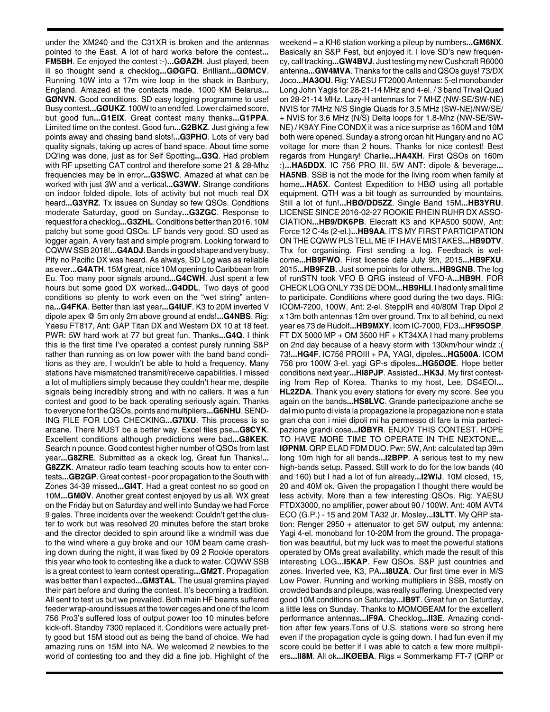under the XM240 and the C31XR is broken and the antennas pointed to the East. A lot of hard works before the contest**... FM5BH**. Ee enjoyed the contest :-)**...GØAZH**. Just played, been ill so thought send a checklog**...GØGFQ**. Brilliant**...GØMCV**. Running 10W into a 17m wire loop in the shack in Banbury, England. Amazed at the contacts made. 1000 KM Belarus**... GØNVN**. Good conditions. SD easy logging programme to use! Busy contest**...GØUKZ**. 100W to an end fed. Lower claimed score, but good fun**...G1EIX**. Great contest many thanks**...G1PPA**. Limited time on the contest. Good fun**...G2BKZ**. Just giving a few points away and chasing band slots!**...G3PHO**. Lots of very bad quality signals, taking up acres of band space. About time some DQ'ing was done, just as for Self Spotting**...G3Q**. Had problem with RF upsetting CAT control and therefore some 21 & 28-Mhz frequencies may be in error**...G3SWC**. Amazed at what can be worked with just 3W and a vertical**...G3WW**. Strange conditions on indoor folded dipole, lots of activity but not much real DX heard**...G3YRZ**. Tx issues on Sunday so few QSOs. Conditions moderate Saturday, good on Sunday**...G3ZGC**. Response to request for a checklog**...G3ZHL**. Conditions better than 2016. 10M patchy but some good QSOs. LF bands very good. SD used as logger again. A very fast and simple program. Looking forward to CQWW SSB 2018!**...G4ADJ**. Bands in good shape and very busy. Pity no Pacific DX was heard. As always, SD Log was as reliable as ever**...G4ATH**. 15M great, nice 10M opening to Caribbean from Eu. Too many poor signals around**...G4CWH**. Just spent a few hours but some good DX worked**...G4DDL**. Two days of good conditions so plenty to work even on the "wet string" antenna**...G4FKA**. Better than last year**...G4IUF**. K3 to 20M inverted V dipole apex @ 5m only 2m above ground at ends!**...G4NBS**. Rig: Yaesu FT817, Ant: GAP Titan DX and Western DX 10 at 18 feet. PWR: 5W hard work at 77 but great fun. Thanks**...G4Q**. I think this is the first time I've operated a contest purely running S&P rather than running as on low power with the band band conditions as they are, I wouldn't be able to hold a frequency. Many stations have mismatched transmit/receive capabilities. I missed a lot of multipliers simply because they couldn't hear me, despite signals being incredibly strong and with no callers. It was a fun contest and good to be back operating seriously again. Thanks to everyone for the QSOs, points and multipliers**...G6NHU**. SEND-ING FILE FOR LOG CHECKING**...G7IXU**. This process is so arcane. There MUST be a better way. Excel files pse**...G8CYK**. Excellent conditions although predictions were bad**...G8KEK**. Search n pounce. Good contest higher number of QSOs from last year**...G8ZRE**. Submitted as a ckeck log, Great fun Thanks!**... G8ZZK**. Amateur radio team teaching scouts how to enter contests**...GB2GP**. Great contest - poor propagation to the South with Zones 34-39 missed**...GI4T**. Had a great contest no so good on 10M**...GMØV**. Another great contest enjoyed by us all. WX great on the Friday but on Saturday and well into Sunday we had Force 9 gales. Three incidents over the weekend: Couldn't get the cluster to work but was resolved 20 minutes before the start broke and the director decided to spin around like a windmill was due to the wind where a guy broke and our 10M beam came crashing down during the night, it was fixed by 09 2 Rookie operators this year who took to contesting like a duck to water. CQWW SSB is a great contest to learn contest operating**...GM2T**. Propagation was better than I expected**...GM3TAL**. The usual gremlins played their part before and during the contest. It's becoming a tradition. All sent to test us but we prevailed. Both main HF beams suffered feeder wrap-around issues at the tower cages and one of the Icom 756 Pro3's suffered loss of output power too 10 minutes before kick-off. Standby 7300 replaced it. Conditions were actually pretty good but 15M stood out as being the band of choice. We had amazing runs on 15M into NA. We welcomed 2 newbies to the world of contesting too and they did a fine job. Highlight of the

weekend = a KH6 station working a pileup by numbers**...GM6NX**. Basically an S&P Fest, but enjoyed it. I love SD's new frequency, call tracking**...GW4BVJ**. Just testing my new Cushcraft R6000 antenna**...GW4MVA**. Thanks for the calls and QSOs guys! 73/DX Joco**...HA3OU**. Rig: YAESU FT2000 Antennas: 5-el monobander Long John Yagis for 28-21-14 MHz and 4-el. / 3 band Trival Quad on 28-21-14 MHz. Lazy-H antennas for 7 MHZ (NW-SE/SW-NE) NVIS for 7MHz N/S Single Quads for 3.5 MHz (SW-NE)/NW/SE/ + NVIS for 3.6 MHz (N/S) Delta loops for 1.8-Mhz (NW-SE/SW-NE) / K9AY Fine CONDX it was a nice surprise as 160M and 10M both were opened. Sunday a strong orcan hit Hungary and no AC voltage for more than 2 hours. Thanks for nice contest! Best regards from Hungary! Charlie**...HA4XH**. First QSOs on 160m :)**...HA5DDX**. IC 756 PRO III. 5W ANT: dipole & beverage**... HA5NB**. SSB is not the mode for the living room when family at home**...HA5X**. Contest Expedition to HBØ using all portable equipment. QTH was a bit tough as surrounded by mountains. Still a lot of fun!**...HBØ/DD5ZZ**. Single Band 15M**...HB3YRU**. LICENSE SINCE 2016-02-27 ROOKIE RHEIN RUHR DX ASSO-CIATION**...HB9/DK6PB**. Elecraft K3 and KPA500 500W, Ant: Force 12 C-4s (2-el.)**...HB9AA**. IT'S MY FIRST PARTICIPATION ON THE CQWW PLS TELL ME IF I HAVE MISTAKES**...HB9DTV**. Thx for organising. First sending a log. Feedback is welcome**...HB9FWO**. First license date July 9th, 2015**...HB9FXU**. 2015**...HB9FZB**. Just some points for others**...HB9GNB**. The log of runSTN took VFO B QRG instead of VFO-A**...HB9H**. FOR CHECK LOG ONLY 73S DE DOM**...HB9HLI**. I had only small time to participate. Conditions where good during the two days. RIG: ICOM-7200, 100W, Ant: 2-el. SteppIR and 40/80M Trap Dipol 2 x 13m both antennas 12m over ground. Tnx to all behind, cu next year es 73 de Rudolf**...HB9MXY**. Icom IC-7000, FD3**...HF95OSP**. FT DX 5000 MP + OM 3500 HF + KT34XA I had many problems on 2nd day because of a heavy storm with 130km/hour windz :( 73!**...HG4F**. IC756 PROIII + PA, YAGI, dipoles**...HG500A**. ICOM 756 pro 100W 3-el. yagi GP-s dipoles**...HG5ØØE**. Hope better conditions next year**...HI8PJP**. Assisted**...HK3J**. My first contesting from Rep of Korea. Thanks to my host, Lee, DS4EOI**... HL2ZDA**. Thank you every stations for every my score. See you again on the bands**...HS8LVC**. Grande partecipazione anche se dal mio punto di vista la propagazione la propagazione non e stata gran cha con i miei dipoli mi ha permesso di fare la mia partecipazione grandi cose**...IØBYR**. ENJOY THIS CONTEST. HOPE TO HAVE MORE TIME TO OPERATE IN THE NEXTONE**... IØPNM**. QRP ELAD FDM DUO. Pwr: 5W, Ant: calculated tap 39m long 10m high for all bands**...I2BPP**. A serious test to my new high-bands setup. Passed. Still work to do for the low bands (40 and 160) but I had a lot of fun already**...I2WIJ**. 10M closed, 15, 20 and 40M ok. Given the propagation I thought there would be less activity. More than a few interesting QSOs. Rig: YAESU FTDX3000, no amplifier, power about 90 / 100W. Ant: 40M AVT4 ECO (G.P.) - 15 and 20M TA32 Jr. Mosley**...I3LTT**. My QRP station: Renger 2950 + attenuator to get 5W output, my antenna: Yagi 4-el. monoband for 10-20M from the ground. The propagation was beautiful, but my luck was to meet the powerful stations operated by OMs great availability, which made the result of this interesting LOG**...I5KAP**. Few QSOs. S&P just countries and zones. Inverted vee, K3, PA**...I8UZA**. Our first time ever in M/S Low Power. Running and working multipliers in SSB, mostly on crowded bands and pileups, was really suffering. Unexpected very good 10M conditions on Saturday**...IB9T**. Great fun on Saturday, a little less on Sunday. Thanks to MOMOBEAM for the excellent performance antennas**...IF9A**. Checklog**...II3E**. Amazing condition after few years.Tons of U.S. stations were so strong here even if the propagation cycle is going down. I had fun even if my score could be better if I was able to catch a few more multipliers**...II8M**. All ok**...IKØEBA**. Rigs = Sommerkamp FT-7 (QRP or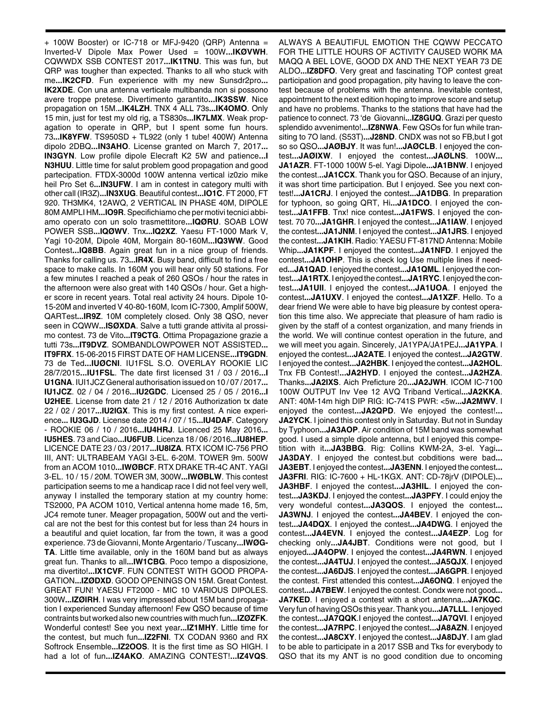+ 100W Booster) or IC-718 or MFJ-9420 (QRP) Antenna = Inverted-V Dipole Max Power Used = 100W**...IKØVWH**. CQWWDX SSB CONTEST 2017**...IK1TNU**. This was fun, but QRP was tougher than expected. Thanks to all who stuck with me**...IK2CFD**. Fun experience with my new Sunsdr2pro**... IK2XDE**. Con una antenna verticale multibanda non si possono avere troppe pretese. Divertimento garantito**...IK3SSW**. Nice propagation on 15M.**..IK4LZH**. TNX 4 ALL 73s**...IK4OMO**. Only 15 min, just for test my old rig, a TS830s**...IK7LMX**. Weak propagation to operate in QRP, but I spent some fun hours. 73**...IK8YFW**. TS950SD + TL922 (only 1 tube! 400W) Antenna dipolo 2DBQ**...IN3AHO**. License granted on March 7, 2017**... IN3GYN**. Low profile dipole Elecraft K2 5W and patience**...I N3HUU**. Little time for salut problem good propagation and good partecipation. FTDX-3000d 100W antenna vertical iz0zio mike heil Pro Set 6**...IN3UFW**. I am in contest in category multi with other call (IR3Z)**...IN3XUG**. Beautiful contest**...IO1C**. FT 2000, FT 920. TH3MK4, 12AWQ, 2 VERTICAL IN PHASE 40M, DIPOLE 80M AMPLI HM**...IO9R**. Specifichiamo che per motivi tecnici abbiamo operato con un solo trasmettitore**...IQØRU**. SOAB LOW POWER SSB**...IQØWV**. Tnx**...IQ2XZ**. Yaesu FT-1000 Mark V, Yagi 10-20M, Dipole 40M, Morgain 80-160M**...IQ3WW**. Good Contest**...IQ8BB**. Again great fun in a nice group of friends. Thanks for calling us. 73**...IR4X**. Busy band, difficult to find a free space to make calls. In 160M you will hear only 50 stations. For a few minutes I reached a peak of 260 QSOs / hour the rates in the afternoon were also great with 140 QSOs / hour. Get a higher score in recent years. Total real activity 24 hours. Dipole 10- 15-20M and inverted V 40-80-160M, Icom IC-7300, Amplif 500W, QARTest**...IR9Z**. 10M completely closed. Only 38 QSO, never seen in CQWW**...ISØXDA**. Salve a tutti grande attivita al prossimo contest. 73 de Vito**...IT9CTG**. Ottima Propagazione grazie a tutti 73s**...IT9DVZ**. SOMBANDLOWPOWER NOT ASSISTED**... IT9FRX**. 15-06-2015 FIRST DATE OF HAM LICENSE**...IT9GDN**. 73 de Ted**...IUØCNI**. IU1FSL S.O. OVERLAY ROOKIE LIC 28/7/2015**...IU1FSL**. The date first licensed 31 / 03 / 2016**...I U1GNA**. IUI1JCZ General authorisation issued on 10 / 07 / 2017**... IU1JCZ**. 02 / 04 / 2016**...IU2GDC**. Licensed 25 / 05 / 2016**...I U2HEE**. License from date 21 / 12 / 2016 Authorization tx date 22 / 02 / 2017**...IU2IGX**. This is my first contest. A nice experience**... IU3GJD**. License date 2014 / 07 / 15**...IU4DAF**. Category - ROOKIE 06 / 10 / 2016**...IU4HRJ**. Licenced 25 May 2016**... IU5HES**. 73 and Ciao**...IU6FUB**. Licenza 18 / 06 / 2016**...IU8HEP**. LICENCE DATE 23 / 03 / 2017**...IU8IZA**. RTX ICOM IC-756 PRO III, ANT: ULTRABEAM YAGI 3-EL. 6-20M. TOWER 9m. 500W from an ACOM 1010**...IWØBCF**. RTX DRAKE TR-4C ANT. YAGI 3-EL. 10 / 15 / 20M. TOWER 3M, 300W**...IWØBLW**. This contest participation seems to me a handicap race I did not feel very well, anyway I installed the temporary station at my country home: TS2000, PA ACOM 1010, Vertical antenna home made 16, 5m, JC4 remote tuner. Meager propagation, 500W out and the vertical are not the best for this contest but for less than 24 hours in a beautiful and quiet location, far from the town, it was a good experience. 73 de Giovanni, Monte Argentario / Tuscany**...IWØG-TA**. Little time available, only in the 160M band but as always great fun. Thanks to all**...IW1CBG**. Poco tempo a disposizione, ma divertito!**...IX1CVF**. FUN CONTEST WITH GOOD PROPA-GATION**...IZØDXD**. GOOD OPENINGS ON 15M. Great Contest. GREAT FUN! YAESU FT2000 - MIC 10 VARIOUS DIPOLES. 300W**...IZØIRH**. I was very impressed about 15M band propagation I experienced Sunday afternoon! Few QSO because of time contraints but worked also new countries with much fun**...IZØZFK**. Wonderful contest! See you next year**...IZ1MHY**. Little time for the contest, but much fun**...IZ2FNI**. TX CODAN 9360 and RX Softrock Ensemble**...IZ2OOS**. It is the first time as SO HIGH. I had a lot of fun**...IZ4AKO**. AMAZING CONTEST!**...IZ4VQS**.

ALWAYS A BEAUTIFUL EMOTION THE CQWW PECCATO FOR THE LITTLE HOURS OF ACTIVITY CAUSED WORK MA MAQQ A BEL LOVE, GOOD DX AND THE NEXT YEAR 73 DE ALDO**...IZ8DFO**. Very great and fascinating TOP contest great participation and good propagation, pity having to leave the contest because of problems with the antenna. Inevitable contest, appointment to the next edition hoping to improve score and setup and have no problems. Thanks to the stations that have had the patience to connect. 73 'de Giovanni**...IZ8GUQ**. Grazi per questo splendido avvenimento!**...IZ8NWA**. Few QSOs for fun while transiting to 7O land. (S53T)**...J28ND**. CNDX was not so FB,but I got so so QSO**...JAØBJY**. It was fun!**...JAØCLB**. I enjoyed the contest**...JAØIXW**. I enjoyed the contest**...JAØLNS**. 100W**... JA1AZR**. FT-1000 100W 5-el. Yagi Dipole**...JA1BNW**. I enjoyed the contest.**..JA1CCX**. Thank you for QSO. Because of an injury, it was short time participation. But I enjoyed. See you next contest!**...JA1CRJ**. I enjoyed the contest**...JA1DBG**. In preparation for typhoon, so going QRT, Hi**...JA1DCO**. I enjoyed the contest**...JA1FFB**. Tnx! nice contest**...JA1FWS**. I enjoyed the contest. 70 70**...JA1GHR**. I enjoyed the contest**...JA1IAW**. I enjoyed the contest**...JA1JNM**. I enjoyed the contest**...JA1JRS**. I enjoyed the contest**...JA1KIH**. Radio: YAESU FT-817ND Antenna: Mobile Whip**...JA1KPF**. I enjoyed the contest**...JA1NFD**. I enjoyed the contest**...JA1OHP**. This is check log Use multiple lines if needed**...JA1QAD**. I enjoyed the contest**...JA1QML**. I enjoyed the contest**...JA1RTX**. I enjoyed the contest**...JA1RYC**. I enjoyed the contest**...JA1UII**. I enjoyed the contest**...JA1UOA**. I enjoyed the contest**...JA1UXV**. I enjoyed the contest**...JA1XZF**. Hello. To a dear friend We were able to have big pleasure by contest operation this time also. We appreciate that pleasure of ham radio is given by the staff of a contest organization, and many friends in the world. We will continue contest operation in the future, and we will meet you again. Sincerely, JA1YPA/JA1PEJ**...JA1YPA**. I enjoyed the contest**...JA2ATE**. I enjoyed the contest**...JA2GTW**. I enjoyed the contest**...JA2HBK**. I enjoyed the contest**...JA2HOL**. Tnx FB Contest!**...JA2HYD**. I enjoyed the contest**...JA2HZA**. Thanks**...JA2IXS**. Aich Preficture 20**...JA2JWH**. ICOM IC-7100 100W OUTPUT Inv Vee 12 AVQ Triband Vertical**...JA2KKA**. ANT: 40M-14m high DIP RIG: IC-741S PWR: <5w**...JA2MWV**. I enjoyed the contest**...JA2QPD**. We enjoyed the contest!**... JA2YCK**. I joined this contest only in Saturday. But not in Sunday by Typhoon**...JA3AOP**. Air condition of 15M band was somewhat good. I used a simple dipole antenna, but I enjoyed this competition with it**...JA3BBG**. Rig: Collins KWM-2A, 3-el. Yagi**... JA3DAY**. I enjoyed the contest.but cobditions were bad**... JA3EBT**. I enjoyed the contest**...JA3ENN**. I enjoyed the contest**... JA3FRI**. RIG: IC-7600 + HL-1KGX. ANT: CD-78jrV (DIPOLE)**... JA3HBF**. I enjoyed the contest**...JA3HIL**. I enjoyed the contest**...JA3KDJ**. I enjoyed the contest**...JA3PFY**. I could enjoy the very wondeful contest**...JA3QOS**. I enjoyed the contest**... JA3WNJ**. I enjoyed the contest**...JA4BEV**. I enjoyed the contest**...JA4DQX**. I enjoyed the contest**...JA4DWG**. I enjoyed the contest**...JA4EVN**. I enjoyed the contest**...JA4EZP**. Log for checking only**...JA4JBT**. Conditions were not good, but I enjoyed**...JA4OPW**. I enjoyed the contest**...JA4RWN**. I enjoyed the contest**...JA4TUJ**. I enjoyed the contest**...JA5QJX**. I enjoyed the contest**...JA6DJS**. I enjoyed the contest**...JA6GPR**. I enjoyed the contest. First attended this contest**...JA6ONQ**. I enjoyed the contest**...JA7BEW**. I enjoyed the contest. Condx were not good**... JA7KED**. I enjoyed a contest with a short antenna**...JA7KQC**. Very fun of having QSOs this year. Thank you**...JA7LLL**. I enjoyed the contest**...JA7QQK**.I enjoyed the contest**...JA7QVI**. I enjoyed the contest**...JA7RPC**. I enjoyed the contest**...JA8AZN**. I enjoyed the contest**...JA8CXY**. I enjoyed the contest**...JA8DJY**. I am glad to be able to participate in a 2017 SSB and Tks for everybody to QSO that its my ANT is no good condition due to oncoming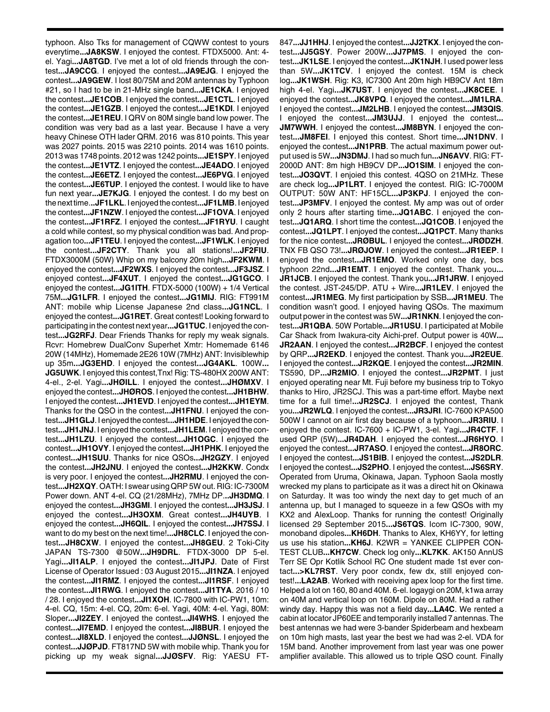typhoon. Also Tks for management of CQWW contest to yours everytime**...JA8KSW**. I enjoyed the contest. FTDX5000. Ant: 4 el. Yagi**...JA8TGD**. I've met a lot of old friends through the contest**...JA9CCG**. I enjoyed the contest**...JA9EJG**. I enjoyed the contest**...JA9GEW**. I lost 80/75M and 20M antennas by Typhoon #21, so I had to be in 21-MHz single band**...JE1CKA**. I enjoyed the contest**...JE1COB**. I enjoyed the contest**...JE1CTL**. I enjoyed the contest**...JE1GZB**. I enjoyed the contest**...JE1KDI**. I enjoyed the contest**...JE1REU**. I QRV on 80M single band low power. The condition was very bad as a last year. Because I have a very heavy Chinese OTH lader QRM. 2016 was 810 points. This year was 2027 points. 2015 was 2210 points. 2014 was 1610 points. 2013 was 1748 points. 2012 was 1242 points**...JE1SPY**. I enjoyed the contest**...JE1VTZ**. I enjoyed the contest**...JE4ADO**. I enjoyed the contest**...JE6ETZ**. I enjoyed the contest**...JE6PVG**. I enjoyed the contest**...JE6TUP**. I enjoyed the contest. I would like to have fun next year**...JE7KJG**. I enjoyed the contest. I do my best on the next time.**..JF1LKL**. I enjoyed the contest**...JF1LMB**. I enjoyed the contest**...JF1NZW**. I enjoyed the contest**...JF1OVA**. I enjoyed the contest**...JF1RFZ**. I enjoyed the contest**...JF1RYU**. I caught a cold while contest, so my physical condition was bad. And propagation too**...JF1TEU**. I enjoyed the contest**...JF1WLK**. I enjoyed the contest**...JF2CTY**. Thank you all stations!**...JF2FIU**. FTDX3000M (50W) Whip on my balcony 20m high**...JF2KWM**. I enjoyed the contest**...JF2WXS**. I enjoyed the contest**...JF3JSZ**. I enjoyed contest**...JF4XUT**. I enjoyed the contest**...JG1GCO**. I enjoyed the contest**...JG1ITH**. FTDX-5000 (100W) + 1/4 Vertical 75M**...JG1LFR**. I enjoyed the contest**...JG1MIJ**. RIG: FT991M ANT: mobile whip License Japanese 2nd class**...JG1NCL**. I enjoyed the contest**...JG1RET**. Great contest! Looking forward to participating in the contest next year**...JG1TUC**. I enjoyed the contest**...JG2RFJ**. Dear Friends Thanks for reply my weak signals. Rcvr: Homebrew DualConv Superhet Xmtr: Homemade 6146 20W (14MHz), Homemade 2E26 10W (7MHz) ANT: Invisiblewhip up 35m**...JG3EHD**. I enjoyed the contest**...JG4AKL**. 100W**... JG5UWK**. I enjoyed this contest,Tnx! Rig: TS-480HX 200W ANT: 4-el., 2-el. Yagi**...JHØILL**. I enjoyed the contest**...JHØMXV**. I enjoyed the contest**...JHØROS**. I enjoyed the contest**...JH1BHW**. I enjoyed the contest**...JH1EVD**. I enjoyed the contest**...JH1EYM**. Thanks for the QSO in the contest**...JH1FNU**. I enjoyed the contest**...JH1GLJ**. I enjoyed the contest**...JH1HDE**. I enjoyed the contest**...JH1JNJ**. I enjoyed the contest**...JH1LEM**. I enjoyed the contest**...JH1LZU**. I enjoyed the contest**...JH1OGC**. I enjoyed the contest**...JH1OVY**. I enjoyed the contest**...JH1PHK**. I enjoyed the contest**...JH1SUU**. Thanks for nice QSOs**...JH2GZY**. I enjoyed the contest**...JH2JNU**. I enjoyed the contest**...JH2KKW**. Condx is very poor. I enjoyed the contest**...JH2RMU**. I enjoyed the contest**...JH2XQY**. OATH: I swear using QRP 5W out. RIG: IC-7300M Power down. ANT 4-el. CQ (21/28MHz), 7MHz DP.**..JH3DMQ**. I enjoyed the contest**...JH3GMI**. I enjoyed the contest**...JH3JSJ**. I enjoyed the contest**...JH3OXM**. Great contest**...JH4UYB**. I enjoyed the contest**...JH6QIL**. I enjoyed the contest**...JH7SSJ**. I want to do my best on the next time!**...JH8CLC**. I enjoyed the contest**...JH8CXW**. I enjoyed the contest**...JH8GEU**. 2 Toki-City JAPAN TS-7300 @50W**...JH9DRL**. FTDX-3000 DP 5-el. Yagi**...JI1ALP**. I enjoyed the contest**...JI1JPJ**. Date of First License of Operator Issued : 03 August 2015**...JI1NZA**. I enjoyed the contest**...JI1RMZ**. I enjoyed the contest**...JI1RSF**. I enjoyed the contest**...JI1RWG**. I enjoyed the contest**...JI1TYA**. 2016 / 10 / 28. I enjoyed the contest**...JI1XOH**. IC-7800 with IC-PW1, 10m: 4-el. CQ, 15m: 4-el. CQ, 20m: 6-el. Yagi, 40M: 4-el. Yagi, 80M: Sloper**...JI2ZEY**. I enjoyed the contest**...JI4WHS**. I enjoyed the contest**...JI7EMD**. I enjoyed the contest**...JI8BUR**. I enjoyed the contest**...JI8XLD**. I enjoyed the contest**...JJØNSL**. I enjoyed the contest**...JJØPJD**. FT817ND 5W with mobile whip. Thank you for picking up my weak signal**...JJØSFV**. Rig: YAESU FT-

847**...JJ1HHJ**. I enjoyed the contest**...JJ2TKX**. I enjoyed the contest**...JJ5GSY**. Power 200W**...JJ7PMS**. I enjoyed the contest**...JK1LSE**. I enjoyed the contest**...JK1NJH**. I used power less than 5W**...JK1TCV**. I enjoyed the contest. 15M is check log**...JK1WSH**. Rig: K3, IC7300 Ant 20m high HB9CV Ant 18m high 4-el. Yagi**...JK7UST**. I enjoyed the contest**...JK8CEE**. I enjoyed the contest**...JK8VPQ**. I enjoyed the contest**...JM1LRA**. I enjoyed the contest**...JM2LHB**. I enjoyed the contest**...JM3QIS**. I enjoyed the contest**...JM3UJJ**. I enjoyed the contest**... JM7WWH**. I enjoyed the contest**...JM8BYN**. I enjoyed the contest**...JM8FEI**. I enjoyed this contest. Short time**...JN1DNV**. I enjoyed the contest**...JN1PRB**. The actual maximum power output used is 5W**...JN3DMJ**. I had so much fun**...JN6AVV**. RIG: FT-2000D ANT: 8m high HB9CV DP**...JO1SIM**. I enjoyed the contest**...JO3QVT**. I enjoied this contest. 4QSO on 21MHz. These are check log**...JP1LRT**. I enjoyed the contest. RIG: IC-7000M OUTPUT: 50W ANT: HF15CL**...JP3KPJ**. I enjoyed the contest**...JP3MFV**. I enjoyed the contest. My amp was out of order only 2 hours after starting time**...JQ1ABC**. I enjoyed the contest**...JQ1ARQ**. I short time the contest**...JQ1COB**. I enjoyed the contest**...JQ1LPT**. I enjoyed the contest**...JQ1PCT**. Many thanks for the nice contest**...JRØBUL**. I enjoyed the contest**...JRØDZH**. TNX FB QSO 73!**...JRØJOW**. I enjoyed the contest**...JR1EEP**. I enjoyed the contest**...JR1EMO**. Worked only one day, bcs typhoon 22nd**...JR1EMT**. I enjoyed the contest. Thank you**... JR1JCB**. I enjoyed the contest. Thank you**...JR1JRW**. I enjoyed the contest. JST-245/DP. ATU + Wire**...JR1LEV**. I enjoyed the contest**...JR1MEG**. My first participation by SSB**...JR1MEU**. The condition wasn't good. I enjoyed having QSOs. The maximum output power in the contest was 5W**...JR1NKN**. I enjoyed the contest**...JR1QBA**. 50W Portable**...JR1USU**. I participated at Mobile Car Shack from Iwakura-city Aichi-pref. Output power is 40W**... JR2AAN**. I enjoyed the contest**...JR2BCF**. I enjoyed the contest by QRP**...JR2EKD**. I enjoyed the contest. Thank you**...JR2EUE**. I enjoyed the contest**...JR2KQE**. I enjoyed the contest**...JR2MIN**. TS590, DP**...JR2MIO**. I enjoyed the contest**...JR2PMT**. I just enjoyed operating near Mt. Fuji before my business trip to Tokyo thanks to Hiro, JR2SCJ. This was a part-time effort. Maybe next time for a full time!**...JR2SCJ**. I enjoyed the contest, Thank you**...JR2WLQ**. I enjoyed the contest**...JR3JRI**. IC-7600 KPA500 500W I cannot on air first day because of a typhoon**...JR3RIU**. I enjoyed the contest. IC-7600 + IC-PW1, 3-el. Yagi**...JR4CTF**. I used QRP (5W)**...JR4DAH**. I enjoyed the contest**...JR6HYO**. I enjoyed the contest**...JR7ASO**. I enjoyed the contest**...JR8ORC**. I enjoyed the contest**...JS1BIB**. I enjoyed the contest**...JS2DLR**. I enjoyed the contest**...JS2PHO**. I enjoyed the contest**...JS6SRY**. Operated from Uruma, Okinawa, Japan. Typhoon Saola mostly wrecked my plans to participate as it was a direct hit on Okinawa on Saturday. It was too windy the next day to get much of an antenna up, but I managed to squeeze in a few QSOs with my KX2 and AlexLoop. Thanks for running the contest! Originally licensed 29 September 2015**...JS6TQS**. Icom IC-7300, 90W, monoband dipoles**...KH6DH**. Thanks to Alex, KH6YY, for letting us use his station**...KH6J**. K2WR = YANKEE CLIPPER CON-TEST CLUB**...KH7CW**. Check log only**...KL7KK**. AK150 AnnUS Terr SE Opr Kotlik School RC One student made 1st ever contact**...>KL7RST**. Very poor condx, few dx, still enjoyed contest!**...LA2AB**. Worked with receiving apex loop for the first time. Helped a lot on 160, 80 and 40M. 6-el. logaygi on 20M, k1wa array on 40M and vertical loop on 160M. Dipole on 80M. Had a rather windy day. Happy this was not a field day**...LA4C**. We rented a cabin at locator JP60EE and temporarily installed 7 antennas. The best antennas we had were 3-bander Spiderbeam and hexbeam on 10m high masts, last year the best we had was 2-el. VDA for 15M band. Another improvement from last year was one power amplifier available. This allowed us to triple QSO count. Finally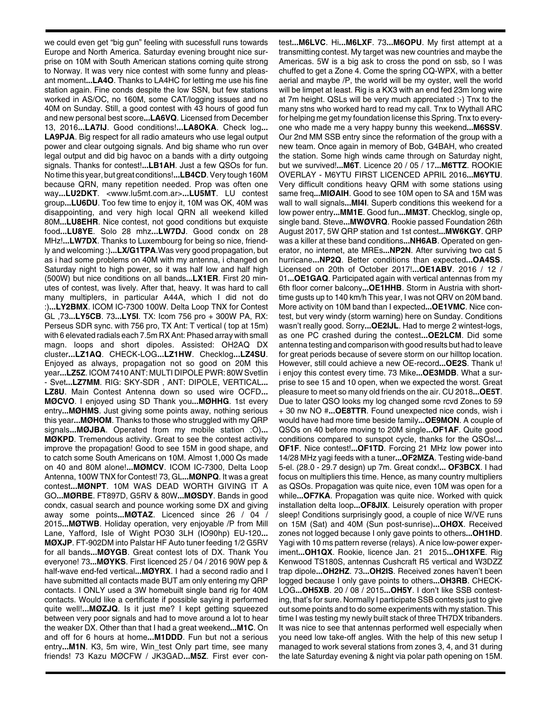we could even get "big gun" feeling with sucessfull runs towards Europe and North America. Saturday evening brought nice surprise on 10M with South American stations coming quite strong to Norway. It was very nice contest with some funny and pleasant moment**...LA4O**. Thanks to LA4HC for letting me use his fine station again. Fine conds despite the low SSN, but few stations worked in AS/OC, no 160M, some CAT/logging issues and no 40M on Sunday. Still, a good contest with 43 hours of good fun and new personal best score**...LA6VQ**. Licensed from December 13, 2016**...LA7IJ**. Good conditions!**...LA8OKA**. Check log**... LA9PJA**. Big respect for all radio amateurs who use legal output power and clear outgoing signals. And big shame who run over legal output and did big havoc on a bands with a dirty outgoing signals. Thanks for contest!**...LB1AH**. Just a few QSOs for fun. No time this year, but great conditions!**...LB4CD**. Very tough 160M because QRN, many repetition needed. Prop was often one way**...LU2DKT**. <www.lu5mt.com.ar>**...LU5MT**. LU contest group**...LU6DU**. Too few time to enjoy it, 10M was OK, 40M was disappointing, and very high local QRN all weekend killed 80M**...LU8EHR**. Nice contest, not good conditions but exquiste food**...LU8YE**. Solo 28 mhz**...LW7DJ**. Good condx on 28 MHz!**...LW7DX**. Thanks to Luxembourg for being so nice, friendly and welcoming :)**...LX/G1TPA**.Was very good propagation, but as i had some problems on 40M with my antenna, i changed on Saturday night to high power, so it was half low and half high (500W) but nice conditions on all bands**...LX1ER**. First 20 minutes of contest, was lively. After that, heavy. It was hard to call many multiplers, in particular A44A, which I did not do :)**...LY2BMX**. ICOM IC-7300 100W. Delta Loop TNX for Contest GL ,73**...LY5CB**. 73**...LY5I**. TX: Icom 756 pro + 300W PA, RX: Perseus SDR sync. with 756 pro, TX Ant: T vertical ( top at 15m) with 6 elevated radials each 7.5m RX Ant: Phased array with small magn. loops and short dipoles. Assisted: OH2AQ DX cluster**...LZ1AQ**. CHECK-LOG**...LZ1HW**. Checklog**...LZ4SU**. Enjoyed as always, propagation not so good on 20M this year**...LZ5Z**. ICOM 7410 ANT: MULTI DIPOLE PWR: 80W Svetlin - Svet**...LZ7MM**. RIG: SKY-SDR , ANT: DIPOLE, VERTICAL**... LZ8U**. Main Contest Antenna down so used wire OCFD**... MØCVO**. I enjoyed using SD Thank you**...MØHHG**. 1st every entry**...MØHMS**. Just giving some points away, nothing serious this year**...MØHOM**. Thanks to those who struggled with my QRP signals**...MØJBA**. Operated from my mobile station :O)**... MØKPD**. Tremendous activity. Great to see the contest activity improve the propagation! Good to see 15M in good shape, and to catch some South Americans on 10M. Almost 1,000 Qs made on 40 and 80M alone!**...MØMCV**. ICOM IC-7300, Delta Loop Antenna, 100W TNX for Contest! 73, GL**...MØNPQ**. It was a great contest**...MØNPT**. 10M WAS DEAD WORTH GIVING IT A GO**...MØRBE**. FT897D, G5RV & 80W**...MØSDY**. Bands in good condx, casual search and pounce working some DX and giving away some points**...MØTAZ**. Licenced since 26 / 04 / 2015**...MØTWB**. Holiday operation, very enjoyable /P from Mill Lane, Yafford, Isle of Wight PO30 3LH (IO90hp) EU-120**... MØXJP**. FT-902DM into Palstar HF Auto tuner feeding 1/2 G5RV for all bands**...MØYGB**. Great contest lots of DX. Thank You everyone! 73**...MØYKS**. First licenced 25 / 04 / 2016 90W pep & half-wave end-fed vertical**...MØYRX**. I had a second radio and I have submitted all contacts made BUT am only entering my QRP contacts. I ONLY used a 3W homebuilt single band rig for 40M contacts. Would like a certificate if possible saying it performed quite well!**...MØZJQ**. Is it just me? I kept getting squeezed between very poor signals and had to move around a lot to hear the weaker DX. Other than that I had a great weekend**...M1C**. On and off for 6 hours at home**...M1DDD**. Fun but not a serious entry**...M1N**. K3, 5m wire, Win\_test Only part time, see many friends! 73 Kazu MØCFW / JK3GAD**...M5Z**. First ever contest**...M6LVC**. Hi**...M6LXF**. 73**...M6OPU**. My first attempt at a transmitting contest. My target was new countries and maybe the Americas. 5W is a big ask to cross the pond on ssb, so I was chuffed to get a Zone 4. Come the spring CQ-WPX, with a better aerial and maybe /P, the world will be my oyster, well the world will be limpet at least. Rig is a KX3 with an end fed 23m long wire at 7m height. QSLs will be very much appreciated :-) Tnx to the many stns who worked hard to read my call. Tnx to Wythall ARC for helping me get my foundation license this Spring. Tnx to everyone who made me a very happy bunny this weekend**...M6SSV**. Our 2nd MM SSB entry since the reformation of the group with a new team. Once again in memory of Bob, G4BAH, who created the station. Some high winds came through on Saturday night, but we survived!**...M6T**. Licence 20 / 05 / 17**...M6TTZ**. ROOKIE OVERLAY - M6YTU FIRST LICENCED APRIL 2016**...M6YTU**. Very difficult conditions heavy QRM with some stations using same freq**...MIØAIH**. Good to see 10M open to SA and 15M was wall to wall signals**...MI4I**. Superb conditions this weekend for a low power entry**...MM1E**. Good fun**...MM3T**. Checklog, single op, single band. Steve**...MWØVRQ**. Rookie passed Foundation 26th August 2017, 5W QRP station and 1st contest**...MW6KGY**. QRP was a killer at these band conditions**...NH6AB**. Operated on generator, no internet, ate MREs**...NP2N**. After surviving two cat 5 hurricane**...NP2Q**. Better conditions than expected**...OA4SS**. Licensed on 20th of October 2017!**...OE1ABV**. 2016 / 12 / 01**...OE1GAQ**. Participated again with vertical antennas from my 6th floor corner balcony**...OE1HHB**. Storm in Austria with shorttime gusts up to 140 km/h This year, I was not QRV on 20M band. More activity on 10M band than I expected**...OE1VMC**. Nice contest, but very windy (storm warning) here on Sunday. Conditions wasn't really good. Sorry**...OE2IJL**. Had to merge 2 wintest-logs, as one PC crashed during the contest**...OE2LCM**. Did some antenna testing and comparison with good results but had to leave for great periods because of severe storm on our hilltop location. However, still could achieve a new OE-record**...OE2S**. Thank u! i enjoy this contest every time. 73 Mike**...OE3MDB**. What a surprise to see 15 and 10 open, when we expected the worst. Great pleasure to meet so many old friends on the air. CU 2018**...OE5T**. Due to later QSO looks my log changed some rcvd Zones to 59 + 30 nw NO #**...OE8TTR**. Found unexpected nice conds, wish i would have had more time beside family**...OE9MON**. A couple of QSOs on 40 before moving to 20M single**...OF1AF**. Quite good conditions compared to sunspot cycle, thanks for the QSOs!**... OF1F**. Nice contest!**...OF1TD**. Forcing 21 MHz low power into 14/28 MHz yagi feeds with a tuner**...OF2MZA**. Testing wide-band 5-el. (28.0 - 29.7 design) up 7m. Great condx!**... OF3BCX**. I had focus on multipliers this time. Hence, as many country multipliers as QSOs. Propagation was quite nice, even 10M was open for a while**...OF7KA**. Propagation was quite nice. Worked with quick installation delta loop**...OF8JIX**. Leisurely operation with proper sleep! Conditions surprisingly good, a couple of nice W/VE runs on 15M (Sat) and 40M (Sun post-sunrise)**...OHØX**. Received zones not logged because I only gave points to others**...OH1HD**. Yagi with 10 ms pattern reverse (relays). A nice low-power experiment**...OH1QX**. Rookie, licence Jan. 21 2015**...OH1XFE**. Rig Kenwood TS180S, antennas Cushcraft R5 vertical and W3DZZ trap dipole**...OH2HZ**. 73**...OH2IS**. Received zones haven't been logged because I only gave points to others**...OH3RB**. CHECK-LOG**...OH5XB**. 20 / 08 / 2015**...OH5Y**. I don't like SSB contesting, that's for sure. Normally I participate SSB contests just to give out some points and to do some experiments with my station. This time I was testing my newly built stack of three TH7DX tribanders. It was nice to see that antennas performed well especially when you need low take-off angles. With the help of this new setup I managed to work several stations from zones 3, 4, and 31 during the late Saturday evening & night via polar path opening on 15M.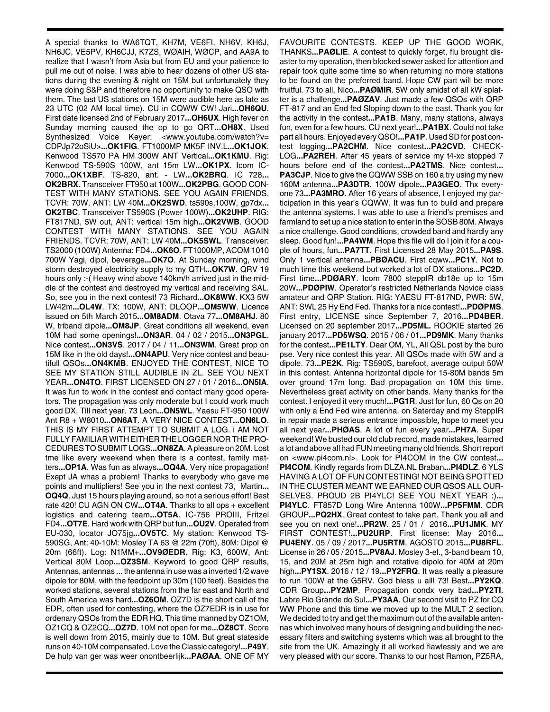A special thanks to WA6TQT, KH7M, VE6FI, NH6V, KH6J, NH6JC, VE5PV, KH6CJJ, K7ZS, WØAIH, WØCP, and AA9A to realize that I wasn't from Asia but from EU and your patience to pull me out of noise. I was able to hear dozens of other US stations during the evening & night on 15M but unfortunately they were doing S&P and therefore no opportunity to make QSO with them. The last US stations on 15M were audible here as late as 23 UTC (02 AM local time). CU in CQWW CW! Jari**...OH6QU**. First date licensed 2nd of February 2017**...OH6UX**. High fever on Sunday morning caused the op to go QRT**...OH8X**. Used Synthesized Voice Keyer: <www.youtube.com/watch?v= CDPJp72oSiU>**...OK1FIG**. FT1000MP MK5F INV.L**...OK1JOK**. Kenwood TS570 PA HM 300W ANT Vertical**...OK1KMU**. Rig: Kenwood TS-590S 100W, ant 15m LW**...OK1PX**. Icom IC-7000**...OK1XBF**. TS-820, ant. - LW**...OK2BRQ**. IC 728**... OK2BRX**. Transceiver FT950 at 100W**...OK2PBG**. GOOD CON-TEST WITH MANY STATIONS. SEE YOU AGAIN FRIENDS. TCVR: 70W, ANT: LW 40M**...OK2SWD**. ts590s,100W, gp7dx**... OK2TBC**. Transceiver TS590S (Power 100W)**...OK2UHP**. RIG: FT817ND, 5W out, ANT: vertical 15m high**...OK2VWB**. GOOD CONTEST WITH MANY STATIONS. SEE YOU AGAIN FRIENDS. TCVR: 70W, ANT: LW 40M**...OK5SWL**. Transceiver: TS2000 (100W) Antenna: FD4**...OK6O**. FT1000MP, ACOM 1010 700W Yagi, dipol, beverage**...OK7O**. At Sunday morning, wind storm destroyed electricity supply to my QTH**...OK7W**. QRV 19 hours only :-( Heavy wind above 140km/h arrived just in the middle of the contest and destroyed my vertical and receiving SAL. So, see you in the next contest! 73 Richard**...OK8WW**. KX3 5W LW42m**...OL4W**. TX: 100W, ANT: DLOOP**...OM5WW**. Licence issued on 5th March 2015**...OM8ADM**. Otava 77**...OM8AHJ**. 80 W, triband dipole**...OM8JP**. Great conditions all weekend, even 10M had some openings!**...ON3AR**. 04 / 02 / 2015**...ON3PGL**. Nice contest**...ON3VS**. 2017 / 04 / 11**...ON3WM**. Great prop on 15M like in the old days!**...ON4APU**. Very nice contest and beautifull QSOs**...ON4KMB**. ENJOYED THE CONTEST, NICE TO SEE MY STATION STILL AUDIBLE IN ZL. SEE YOU NEXT YEAR**...ON4TO**. FIRST LICENSED ON 27 / 01 / 2016**...ON5IA**. It was fun to work in the contest and contact many good operators. The propagation was only moderate but I could work much good DX. Till next year. 73 Leon**...ON5WL**. Yaesu FT-950 100W Ant R8 + W8010**...ON6AT**. A VERY NICE CONTEST**...ON6LO**. THIS IS MY FIRST ATTEMPT TO SUBMIT A LOG. i AM NOT FULLY FAMILIAR WITH EITHER THE LOGGER NOR THE PRO-CEDURES TO SUBMIT LOGS**...ON8ZA**. A pleasure on 20M. Lost tme like every weekend when there is a contest, family matters**...OP1A**. Was fun as always**...OQ4A**. Very nice propagation! Exept JA whas a problem! Thanks to everybody who gave me points and multipliers! See you in the next contest 73, Martin**... OQ4Q**. Just 15 hours playing around, so not a serious effort! Best rate 420! CU AGN ON CW**...OT4A**. Thanks to all ops + excellent logistics and catering team**...OT5A**. IC-756 PROIII, Fritzel FD4**...OT7E**. Hard work with QRP but fun**...OU2V**. Operated from EU-030, locator JO75jg**...OV5TC**. My station: Kenwood TS-590SG, Ant: 40-10M: Mosley TA 63 @ 22m (70ft), 80M: Dipol @ 20m (66ft). Log: N1MM+**...OV9ØEDR**. Rig: K3, 600W, Ant: Vertical 80M Loop**...OZ3SM**. Keyword to good QRP results, Antennas, antennas ... the antenna in use was a inverted 1/2 wave dipole for 80M, with the feedpoint up 30m (100 feet). Besides the worked stations, several stations from the far east and North and South America was hard**...OZ6OM**. OZ7D is the short call of the EDR, often used for contesting, where the OZ7EDR is in use for ordenary QSOs from the EDR HQ. This time manned by OZ1OM, OZ1CQ & OZ2CQ**...OZ7D**. 10M not open for me**...OZ8CT**. Score is well down from 2015, mainly due to 10M. But great stateside runs on 40-10M compensated. Love the Classic category!**...P49Y**. De hulp van ger was weer onontbeerlijk**...PAØAA**. ONE OF MY

FAVOURITE CONTESTS. KEEP UP THE GOOD WORK, THANKS**...PAØLIE**. A contest to quickly forget, flu brought disaster to my operation, then blocked sewer asked for attention and repair took quite some time so when returning no more stations to be found on the preferred band. Hope CW part will be more fruitful. 73 to all, Nico**...PAØMIR**. 5W only amidst of all kW splatter is a challenge**...PAØZAV**. Just made a few QSOs with QRP FT-817 and an End fed Sloping down to the east. Thank you for the activity in the contest**...PA1B**. Many, many stations, always fun, even for a few hours. CU next year!**...PA1BX**. Could not take part all hours. Enjoyed every QSO!**...PA1P**. Used SD for post contest logging**...PA2CHM**. Nice contest**...PA2CVD**. CHECK-LOG**...PA2REH**. After 45 years of service my t4-xc stopped 7 hours before end of the contest**...PA2TMS**. Nice contest**... PA3CJP**. Nice to give the CQWW SSB on 160 a try using my new 160M antenna**...PA3DTR**. 100W dipole**...PA3GEO**. Thx everyone 73**...PA3MRO**. After 16 years of absence, I enjoyed my participation in this year's CQWW. It was fun to build and prepare the antenna systems. I was able to use a friend's premises and farmland to set up a nice station to enter in the SOSB 80M. Always a nice challenge. Good conditions, crowded band and hardly any sleep. Good fun!**...PA4WM**. Hope this file will do I join it for a couple of hours, fun**...PA7TT**. First Licensed 28 May 2015**...PA9S**. Only 1 vertical antenna**...PBØACU**. First cqww**...PC1Y**. Not to much time this weekend but worked a lot of DX stations**...PC2D**. First time**...PDØARY**. Icom 7800 steppIR db18e up to 15m 20W**...PDØPIW**. Operator's restricted Netherlands Novice class amateur and QRP Station. RIG: YAESU FT-817ND, PWR: 5W, ANT: SWL 25 Hy End Fed. Thanks for a nice contest!**...PDØPMS**. First entry, LICENSE since September 7, 2016**...PD4BER**. Licensed on 20 september 2017**...PD5ML.** ROOKIE started 26 january 2017**...PD5WSQ**. 2015 / 06 / 01**...PD9MK**. Many thanks for the contest**...PE1LTY**. Dear OM, YL, All QSL post by the buro pse. Very nice contest this year. All QSOs made with 5W and a dipole. 73**...PE2K**. Rig: TS590S, barefoot, average output 50W in this contest. Antenna horizontal dipole for 15-80M bands 5m over ground 17m long. Bad propagation on 10M this time. Nevertheless great activity on other bands. Many thanks for the contest. I enjoyed it very much!**...PG1R**. Just for fun, 60 Qs on 20 with only a End Fed wire antenna. on Saterday and my SteppIR in repair made a serieus entrance impossible, hope to meet you all next year**...PHØAS**. A lot of fun every year**...PH7A**. Super weekend! We busted our old club record, made mistakes, learned a lot and above all had FUN meeting many old friends. Short report on <www.pi4com.nl>. Look for PI4COM in the CW contest**... PI4COM**. Kindly regards from DLZA.NL Braban**...PI4DLZ**. 6 YLS HAVING A LOT OF FUN CONTESTING! NOT BEING SPOTTED IN THE CLUSTER MEANT WE EARNED OUR QSOS ALL OUR-SELVES. PROUD 2B PI4YLC! SEE YOU NEXT YEAR :)**... PI4YLC**. FT857D Long Wire Antenna 100W**...PP5FMM**. CDR GROUP**...PQ2HX**. Great contest to take part. Thank you all and see you on next one!**...PR2W**. 25 / 01 / 2016**...PU1JMK**. MY FIRST CONTEST!**...PU2URP**. First license: May 2016**... PU4ENY**. 05 / 09 / 2017**...PU5RTM**. AGOSTO 2015**...PU8RFL**. License in 26 / 05 / 2015**...PV8AJ**. Mosley 3-el., 3-band beam 10, 15, and 20M at 25m high and rotative dipolo for 40M at 20m high**...PY1SX**. 2016 / 12 / 19**...PY2FRQ**. It was really a pleasure to run 100W at the G5RV. God bless u all! 73! Best**...PY2KQ**. CDR Group**...PY2MP**. Propagation condx very bad**...PY2TI**. Labre Rio Grande do Sul**...PY3AA**. Our second visit to PZ for CQ WW Phone and this time we moved up to the MULT 2 section. We decided to try and get the maximum out of the available antennas which involved many hours of designing and building the necessary filters and switching systems which was all brought to the site from the UK. Amazingly it all worked flawlessly and we are very pleased with our score. Thanks to our host Ramon, PZ5RA,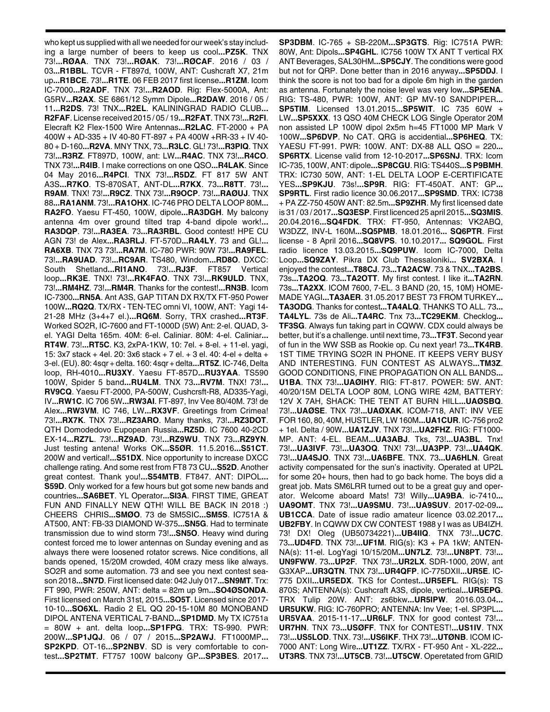who kept us supplied with all we needed for our week's stay including a large number of beers to keep us cool**...PZ5K**. TNX 73!**...RØAA**. TNX 73!**...RØAK**. 73!**...RØCAF**. 2016 / 03 / 03**...R1BBL**. TCVR - FT897d, 100W, ANT: Cushcraft X7, 21m up**...R1BCE**. 73!**...R1TE**. 06 FEB 2017 first license**...R1ZM**. Icom IC-7000**...R2ADF**. TNX 73!**...R2AOD**. Rig: Flex-5000A, Ant: G5RV**...R2AX**. SE 6861/12 Symm Dipole**...R2DAW**. 2016 / 05 / 11**...R2DS**. 73! TNX**...R2EL**. KALININGRAD RADIO CLUB**... R2FAF**. License received 2015 / 05 / 19**...R2FAT**. TNX 73!**...R2FI**. Elecraft K2 Flex-1500 Wire Antennas**...R2LAC**. FT-2000 + PA 400W + AD-335 + IV 40-80 FT-897 + PA 400W +RR-33 + IV 40- 80 + D-160**...R2VA**. MNY TNX, 73**...R3LC**. GL! 73!**...R3PIQ**. TNX 73!**...R3RZ**. FT897D, 100W, ant: LW**...R4AC**. TNX 73!**...R4CO**. TNX 73!**...R4IB**. I make corrections on one QSO**...R4LAK**. Since 04 May 2016**...R4PCI**. TNX 73!**...R5DZ**. FT 817 5W ANT A3S**...R7KO**. TS-870SAT, ANT-DL**...R7KX**. 73**...R8TT**. 73!**... R9AM**. TNX! 73!**...R9CZ**. TNX 73!**...R9OCP**. 73!**...RAØUJ**. TNX 88**...RA1ANM**. 73!**...RA1OHX**. IC-746 PRO DELTA LOOP 80M**... RA2FO**. Yaesu FT-450, 100W, dipole**...RA3DGH**. My balcony antenna 4m over ground tilted trap 4-band dipole work!**... RA3DQP**. 73!**...RA3EA**. 73**...RA3RBL**. Good contest! HPE CU AGN 73! de Alex**...RA3RLJ**. FT-570D**...RA4LY**. 73 and GL!**... RA6XB**. TNX 73 73!**...RA7M**. IC-780 PWR: 90W 73!**...RA9FEL**. 73!**...RA9UAD**. 73!**...RC9AR**. TS480, Windom**...RD8O**. DXCC: South Shetland**...RI1ANO**. 73!**...RJ3F**. FT857 Vertical loop**...RK3E**. TNX! 73!**...RK4FAO**. TNX 73!**...RK9ULD**. TNX, 73!**...RM4HZ**. 73!**...RM4R**. Thanks for the contest!**...RN3B**. Icom IC-7300**...RN5A**. Ant A3S, GAP TITAN DX RX/TX FT-950 Power 100W**...RQ2Q**. TX/RX - TEN-TEC omni VI, 100W, ANT: Yagi 14- 21-28 MHz (3+4+7 el.)**...RQ6M**. Sorry, TRX crashed**...RT3F**. Worked SO2R, IC-7600 and FT-1000D (5W) Ant: 2-el. QUAD, 3 el. YAGI Delta 165m. 40M: 6-el. Caliniar. 80M: 4-el. Caliniar**... RT4W**. 73!**...RT5C**. K3, 2xPA-1KW, 10: 7el. + 8-el. + 11-el. yagi, 15: 3x7 stack + 4el. 20: 3x6 stack + 7 el. + 3 el. 40: 4-el + delta + 3-el. (EU). 80: 4sqr + delta. 160: 4sqr + delta**...RT5Z**. IC-746, Delta loop, RH-4010**...RU3XY**. Yaesu FT-857D**...RU3YAA**. TS590 100W, Spider 5 band**...RU4LM**. TNX 73**...RV7M**. TNX! 73!**... RV9CQ**. Yaesu FT-2000, PA-500W, Cushcrsft-R8, AD335-Yagi, IV**...RW1C**. IC 706 5W**...RW3AI**. FT-897, Inv Vee 80/40M. 73! de Alex**...RW3VM**. IC 746, LW**...RX3VF**. Greetings from Crimea! 73!**...RX7K**. TNX 73!**...RZ3ARO**. Many thanks, 73!**...RZ3DOT**. QTH Domodedovo Eupopean Russia**...RZ5D**. IC 7600 40-2CD EX-14**...RZ7L**. 73!**...RZ9AD**. 73!**...RZ9WU**. TNX 73**...RZ9YN**. Just testing antena! Works OK**...S5ØR**. 11.5.2016**...S51CT**. 200W and vertical!**...S51DX**. Nice opportunity to increase DXCC challenge rating. And some rest from FT8 73 CU**...S52D**. Another great contest. Thank you!**...S54MTB**. FT847. ANT: DIPOL**... S59D**. Only worked for a few hours but got some new bands and countries**...SA6BET**. YL Operator**...SI3A**. FIRST TIME, GREAT FUN AND FINALLY NEW QTH! WILL BE BACK IN 2018 :) CHEERS CHRIS**...SMØO**. 73 de SM5SIC**...SM5S**. IC751A & AT500, ANT: FB-33 DIAMOND W-375**...SN5G**. Had to terminate transmission due to wind storm 73!**...SN5O**. Heavy wind during contest forced me to lower antennas on Sunday evening and as always there were loosened rotator screws. Nice conditions, all bands opened, 15/20M crowded, 40M crazy mess like always. SO2R and some automation. 73 and see you next contest season 2018**...SN7D**. First licensed date: 042 July 017**...SN9MT**. Trx: FT 990, PWR: 250W, ANT: delta = 82m up 9m**...SO4ØSONDA**. First licensed on March 31st, 2015**...SO5T**. Licensed since 2017- 10-10**...SO6XL**. Radio 2 EL QQ 20-15-10M 80 MONOBAND DIPOL ANTENA VERTICAL 7-BAND**...SP1DMD**. My TX IC751a = 80W + ant. delta loop**...SP1FPG**. TRX: TS-990. PWR: 200W**...SP1JQJ**. 06 / 07 / 2015**...SP2AWJ**. FT1000MP**... SP2KPD**. OT-16**...SP2NBV**. SD is very comfortable to contest**...SP2TMT**. FT757 100W balcony GP**...SP3BES**. 2017**...**

**SP3DBM**. IC-765 + SB-220M**...SP3GTS**. Rig: IC751A PWR: 80W, Ant: Dipols**...SP4GHL**. IC756 100W TX ANT T vertical RX ANT Beverages, SAL30HM**...SP5CJY**. The conditions were good but not for QRP. Done better than in 2016 anyway**...SP5DDJ**. I think the score is not too bad for a dipole 6m high in the garden as antenna. Fortunately the noise level was very low**...SP5ENA**. RIG: TS-480, PWR: 100W, ANT: GP MV-10 SANDPIPER**... SP5TIM**. Licensed 13.01.2015**...SP5WIT**. IC 735 60W + LW**...SP5XXX**. 13 QSO 40M CHECK LOG Single Operator 20M non assisted LP 100W dipol 2x5m h=45 FT1000 MP Mark V 100W**...SP6DVP**. No CAT. QRG is accidential**...SP6HEQ**. TX: YAESU FT-991. PWR: 100W. ANT: DX-88 ALL QSO = 220**... SP6RTX**. License valid from 12-10-2017**...SP6SNJ**. TRX: Icom IC-735, 100W, ANT: dipole**...SP8CGU**. RIG: TS440S**...S P9BMH**. TRX: IC730 50W, ANT: 1-EL DELTA LOOP E-CERTIFICATE YES**...SP9KJU**. 73s!**...SP9R**. RIG: FT-450AT. ANT: GP**... SP9RTL**. First radio licence 30.06.2017**...SP9SMD**. TRX: IC738 + PA ZZ-750 450W ANT: 82.5m**...SP9ZHR**. My first licensed date is 31 / 03 / 2017**...SQ3ESP**. First licenced 25 april 2015**...SQ3MIS**. 20.04.2016**...SQ4FDK**. TRX: FT-950, Antennas: VK2ABQ, W3DZZ, INV-L 160M**...SQ5PMB**. 18.01.2016**... SQ6PTR**. First license - 8 April 2016**...SQ8VPS**. 10.10.2017**... SQ9GOL**. First radio licence 13.03.2015**...SQ9PUW**. Icom IC-7000, Delta Loop**...SQ9ZAY**. Pikra DX Club Thessaloniki**... SV2BXA**. I enjoyed the contest**...T88CJ**. 73**...TA2ACW**. 73 & TNX**...TA2BS**. 73s**...TA2OQ**. 73**...TA2OTT**. My first contest. I like it**...TA2RN**. 73s**...TA2XX**. ICOM 7600, 7-EL. 3 BAND (20, 15, 10M) HOME-MADE YAGI**...TA3AER**. 31.05.2017 BEST 73 FROM TURKEY**... TA3ODG**. Thanks for contest**...TA4ALQ**. THANKS TO ALL. 73**... TA4LYL**. 73s de Ali**...TA4RC**. Tnx 73**...TC29EKM**. Checklog**... TF3SG**. Always fun taking part in CQWW. CDX could always be better, but it's a challenge. until next time, 73**...TF3T**. Second year of fun in the WW SSB as Rookie op. Cu next year! 73**...TK4RB**. 1ST TIME TRYING SO2R IN PHONE. IT KEEPS VERY BUSY AND INTERESTING. FUN CONTEST AS ALWAYS**...TM3Z**. GOOD CONDITIONS, FINE PROPAGATION ON ALL BANDS**... U1BA**. TNX 73!**...UAØIHY**. RIG: FT-817. POWER: 5W. ANT: 40/20/15M DELTA LOOP 80M, LONG WIRE 42M, BATTERY: 12V X 7AH, SHACK: THE TENT AT BURN HILL**...UAØSBQ**. 73!**...UAØSE**. TNX 73!**...UAØXAK**. ICOM-718, ANT: INV VEE FOR 160, 80, 40M, HUSTLER, LW 160M**...UA1CUR**. IC-756 pro2 + 1el. Delta / 90W**...UA1ZJV**. TNX 73!**...UA2FHZ**. RIG: FT1000- MP. ANT: 4-EL. BEAM**...UA3ABJ**. Tks, 73!**...UA3BL**. Tnx! 73!**...UA3IVF**. 73!**...UA3OQ**. TNX! 73!**...UA3PP**. 73!**...UA4QK**. 73!**...UA4SJO**. TNX 73!**...UA6BFE**. TNX. 73**...UA6HLN**. Great activity compensated for the sun's inactivity. Operated at UP2L for some 20+ hours, then had to go back home. The boys did a great job. Mats SM6LRR turned out to be a great guy and operator. Welcome aboard Mats! 73! Willy**...UA9BA**. ic-7410**... UA9OMT**. TNX 73!**...UA9SMU**. 73!**...UA9SUV**. 2017-02-09**... UB1CCA**. Date of issue radio amateur licence 03.02.2017**... UB2FBY**. In CQWW DX CW CONTEST 1988 y I was as UB4IZH. 73! DX! Oleg (UB50734221)**...UB4IIQ**. TNX 73!**...UC7C**. 73**...UD4FD**. TNX 73!**...UF1M**. RIG(s): K3 + PA 1kW; ANTEN-NA(s): 11-el. LogYagi 10/15/20M**...UN7LZ**. 73!**...UN8PT**. 73!**... UN9FWW**. 73**...UP2F**. TNX 73!**...UR2LX**. SDR-1000, 20W, ant G3XAP**...UR3QTN**. TNX 73!**...UR4QFP**. IC-775DXII**...UR5E**. IC-775 DXII**...UR5EDX**. TKS for Contest**...UR5EFL**. RIG(s): TS 870S; ANTENNA(s): Cushcraft A3S, dipole, vertical**...UR5EPG**. TRX Tulip 20W. ANT: zs6bkw**...UR5IPW**. 2016.03.04**... UR5UKW**. RIG: IC-760PRO; ANTENNA: Inv Vee; 1-el. SP3PL**... UR5VAA**. 2015-11-17**...UR6LF**. TNX for good contest 73!**... UR7HN**. TNX 73**...USØFF**. TNX for CONTEST!**...US1IV**. TNX 73!**...US5LOD**. TNX. 73!**...US6IKF**. THX 73!**...UTØNB**. ICOM IC-7000 ANT: Long Wire**...UT1ZZ**. TX/RX - FT-950 Ant - XL-222**... UT3RS**. TNX 73!**...UT5CB**. 73!**...UT5CW**. Operetated from GRID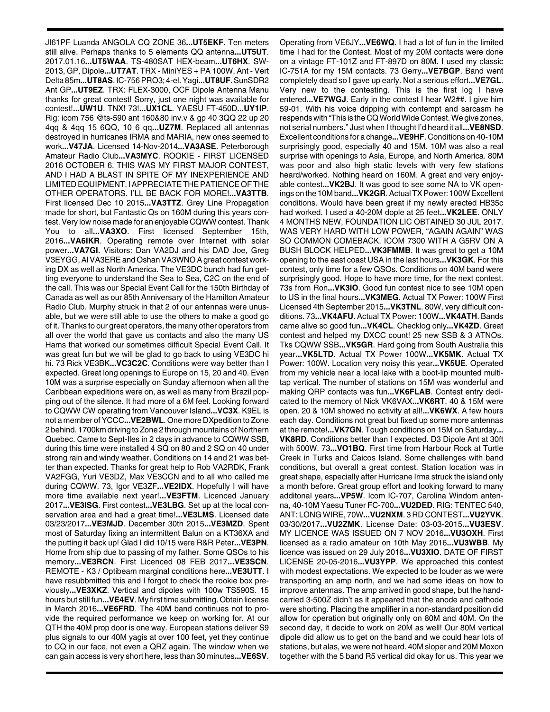JI61PF Luanda ANGOLA CQ ZONE 36**...UT5EKF**. Ten meters still alive. Perhaps thanks to 5 elements QQ antenna**...UT5UT**. 2017.01.16**...UT5WAA**. TS-480SAT HEX-beam**...UT6HX**. SW-2013, GP, Dipole**...UT7AT**. TRX - MiniYES + PA 100W, Ant - Vert Delta 85m**...UT8AS**. IC-756 PRO3; 4-el. Yagi**...UT8UF**. SunSDR2 Ant GP**...UT9EZ**. TRX: FLEX-3000, OCF Dipole Antenna Manu thanks for great contest! Sorry, just one night was available for contest!**...UW1U**. TNX! 73!**...UX1CL**. YAESU FT-450D**...UY1IP**. Rig: icom 756 @ts-590 ant 160&80 inv.v & gp 40 3QQ 22 up 20 4qq & 4qq 15 6QQ, 10 6 qq**...UZ7M**. Replaced all antennas destroyed in hurricanes IRMA and MARIA, new ones seemed to work**...V47JA**. Licensed 14-Nov-2014**...VA3ASE**. Peterborough Amateur Radio Club**...VA3MYC**. ROOKIE - FIRST LICENSED 2016 OCTOBER 6. THIS WAS MY FIRST MAJOR CONTEST, AND I HAD A BLAST IN SPITE OF MY INEXPERIENCE AND LIMITED EQUIPMENT. I APPRECIATE THE PATIENCE OF THE OTHER OPERATORS. I'LL BE BACK FOR MORE!**...VA3TTB**. First licensed Dec 10 2015**...VA3TTZ**. Grey Line Propagation made for short, but Fantastic Qs on 160M during this years contest. Very low noise made for an enjoyable CQWW contest. Thank You to all**...VA3XO**. First licensed September 15th, 2016**...VA6IKR**. Operating remote over Internet with solar power**...VA7GI**. Visitors: Dan VA2DJ and his DAD Joe, Greg V3EYGG, Al VA3ERE and Oshan VA3WNO A great contest working DX as well as North America. The VE3DC bunch had fun getting everyone to understand the Sea to Sea, C2C on the end of the call. This was our Special Event Call for the 150th Birthday of Canada as well as our 85th Anniversary of the Hamilton Amateur Radio Club. Murphy struck in that 2 of our antennas were unusable, but we were still able to use the others to make a good go of it. Thanks to our great operators, the many other operators from all over the world that gave us contacts and also the many US Hams that worked our sometimes difficult Special Event Call. It was great fun but we will be glad to go back to using VE3DC hi hi. 73 Rick VE3BK**...VC3C2C**. Conditions were way better than I expected. Great long openings to Europe on 15, 20 and 40. Even 10M was a surprise especially on Sunday afternoon when all the Caribbean expeditions were on, as well as many from Brazil popping out of the silence. It had more of a 6M feel. Looking forward to CQWW CW operating from Vancouver Island**...VC3X**. K9EL is not a member of YCCC**...VE2BWL**. One more DXpedition to Zone 2 behind. 1700km driving to Zone 2 through mountains of Northern Quebec. Came to Sept-Iles in 2 days in advance to CQWW SSB, during this time were installed 4 SQ on 80 and 2 SQ on 40 under strong rain and windy weather. Conditions on 14 and 21 was better than expected. Thanks for great help to Rob VA2RDK, Frank VA2FGG, Yuri VE3DZ, Max VE3CCN and to all who called me during CQWW. 73, Igor VE3ZF**...VE2IDX**. Hopefully I will have more time available next year!**...VE3FTM**. Licenced January 2017**...VE3ISG**. First contest**...VE3LBG**. Set up at the local conservation area and had a great time!**...VE3LMS**. Licensed date 03/23/2017**...VE3MJD**. December 30th 2015**...VE3MZD**. Spent most of Saturday fixing an intermittent Balun on a KT36XA and the putting it back up! Glad I did 10/15 were R&R Peter**...VE3PN**. Home from ship due to passing of my father. Some QSOs to his memory**...VE3RCN**. First Licenced 08 FEB 2017**...VE3SCN**. REMOTE - K3 / Optibeam marginal conditions here**...VE3UTT**. I have resubbmitted this and I forgot to check the rookie box previously**...VE3XKZ**. Vertical and dipoles with 100w TS590S. 15 hours but still fun**...VE4EV**. My first time submitting. Obtain license in March 2016**...VE6FRD**. The 40M band continues not to provide the required performance we keep on working for. At our QTH the 40M prop door is one way. European stations deliver S9 plus signals to our 40M yagis at over 100 feet, yet they continue to CQ in our face, not even a QRZ again. The window when we can gain access is very short here, less than 30 minutes**...VE6SV**.

Operating from VE6JY**...VE6WQ**. I had a lot of fun in the limited time I had for the Contest. Most of my 20M contacts were done on a vintage FT-101Z and FT-897D on 80M. I used my classic IC-751A for my 15M contacts. 73 Gerry**...VE7BGP**. Band went completely dead so I gave up early. Not a serious effort**...VE7GL**. Very new to the contesting. This is the first log I have entered**...VE7WGJ**. Early in the contest I hear W2##. I give him 59-01. With his voice dripping with contempt and sarcasm he respends with "This is the CQ World Wide Contest. We give zones, not serial numbers." Just when I thought I'd heard it all**...VE8NSD**. Excellent conditions for a change**...VE9HF**. Conditions on 40-10M surprisingly good, especially 40 and 15M. 10M was also a real surprise with openings to Asia, Europe, and North America. 80M was poor and also high static levels with very few stations heard/worked. Nothing heard on 160M. A great and very enjoyable contest**...VK2BJ**. It was good to see some NA to VK openings on the 10M band**...VK2GR**. Actual TX Power: 100W Excellent conditions. Would have been great if my newly erected HB35c had worked. I used a 40-20M dople at 25 feet**...VK2LEE**. ONLY 4 MONTHS NEW, FOUNDATION LIC OBTAINED 30 JUL 2017. WAS VERY HARD WITH LOW POWER, "AGAIN AGAIN" WAS SO COMMON COMEBACK. ICOM 7300 WITH A G5RV ON A BUSH BLOCK HELPED**...VK3FMMB**. It was great to get a 10M opening to the east coast USA in the last hours**...VK3GK**. For this contest, only time for a few QSOs. Conditions on 40M band were surprisingly good. Hope to have more time, for the next contest. 73s from Ron**...VK3IO**. Good fun contest nice to see 10M open to US in the final hours**...VK3MEG**. Actual TX Power: 100W First Licensed 4th September 2015**...VK3TNL**. 80W, very difficult conditions. 73**...VK4AFU**. Actual TX Power: 100W**...VK4ATH**. Bands came alive so good fun**...VK4CL**. Checklog only**...VK4ZD**. Great contest and helped my DXCC count! 25 new SSB & 3 ATNOs. Tks CQWW SSB**...VK5GR**. Hard going from South Australia this year**...VK5LTD**. Actual TX Power 100W**...VK5MK**. Actual TX Power: 100W. Location very noisy this year**...VK5UE**. Operated from my vehicle near a local lake with a boot-lip mounted multitap vertical. The number of stations on 15M was wonderful and making QRP contacts was fun**...VK6FLAB**. Contest entry dedicated to the memory of Nick VK6VAX**...VK6RT**. 40 & 15M were open. 20 & 10M showed no activity at all!**...VK6WX**. A few hours each day. Conditions not great but fixed up some more antennas at the remote!**...VK7GN**. Tough conditions on 15M on Saturday**... VK8RD**. Conditions better than I expected. D3 Dipole Ant at 30ft with 500W. 73**...VO1BQ**. First time from Harbour Rock at Turtle Creek in Turks and Caicos Island. Some challenges with band conditions, but overall a great contest. Station location was in great shape, especially after Hurricane Irma struck the island only a month before. Great group effort and looking forward to many additonal years**...VP5W**. Icom IC-707, Carolina Windom antenna, 40-10M Yaesu Tuner FC-700**...VU2DED**. RIG: TENTEC 540, ANT: LONG WIRE, 70W**...VU2NXM**. 3 RD CONTEST**...VU2YVK**. 03/30/2017**...VU2ZMK**. License Date: 03-03-2015**...VU3ESV**. MY LICENCE WAS ISSUED ON 7 NOV 2016**...VU3OXH**. First licensed as a radio amateur on 10th May 2016**...VU3WBB**. My licence was issued on 29 July 2016**...VU3XIO**. DATE OF FIRST LICENSE 20-05-2016**...VU3YPP**. We approached this contest with modest expectations. We expected to be louder as we were transporting an amp north, and we had some ideas on how to improve antennas. The amp arrived in good shape, but the handcarried 3-500Z didn't as it appeared that the anode and cathode were shorting. Placing the amplifier in a non-standard position did allow for operation but originally only on 80M and 40M. On the second day, it decide to work on 20M as well! Our 80M vertical dipole did allow us to get on the band and we could hear lots of stations, but alas, we were not heard. 40M sloper and 20M Moxon together with the 5 band R5 vertical did okay for us. This year we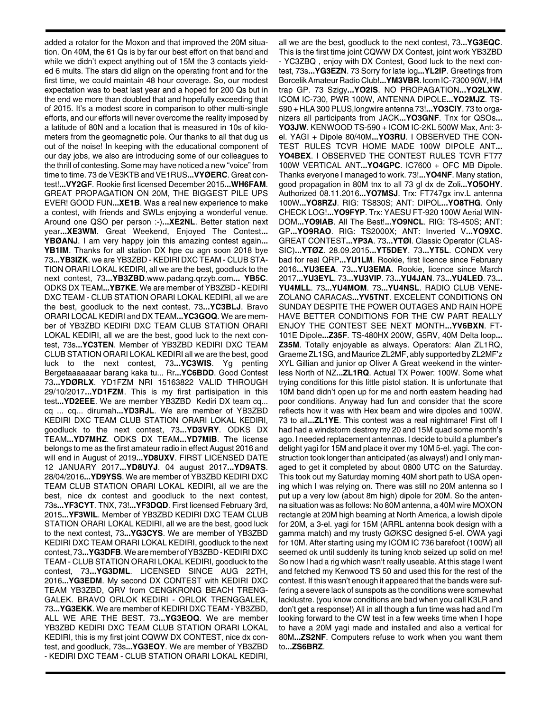added a rotator for the Moxon and that improved the 20M situation. On 40M, the 61 Qs is by far our best effort on that band and while we didn't expect anything out of 15M the 3 contacts yielded 6 mults. The stars did align on the operating front and for the first time, we could maintain 48 hour coverage. So, our modest expectation was to beat last year and a hoped for 200 Qs but in the end we more than doubled that and hopefully exceeding that of 2015. It's a modest score in comparison to other multi-single efforts, and our efforts will never overcome the reality imposed by a latitude of 80N and a location that is measured in 10s of kilometers from the geomagnetic pole. Our thanks to all that dug us out of the noise! In keeping with the educational component of our day jobs, we also are introducing some of our colleagues to the thrill of contesting. Some may have noticed a new "voice" from time to time. 73 de VE3KTB and VE1RUS**...VYØERC**. Great contest!**...VY2GF**. Rookie first licensed December 2015**...WH6FAM**. GREAT PROPAGATION ON 20M, THE BIGGEST PILE UPS EVER! GOOD FUN**...XE1B**. Was a real new experience to make a contest, with friends and SWLs enjoying a wonderful venue. Around one QSO per person :-)**...XE2NL**. Better station next year**...XE3WM**. Great Weekend, Enjoyed The Contest**... YBØANJ**. I am very happy join this amazing contest again**... YB1IM**. Thanks for all station DX hpe cu agn soon 2018 bye 73**...YB3IZK**. we are YB3ZBD - KEDIRI DXC TEAM - CLUB STA-TION ORARI LOKAL KEDIRI, all we are the best, goodluck to the next contest, 73**...YB3ZBD**.www.padang.qrzyb.com**... YB5C**. ODKS DX TEAM**...YB7KE**. We are member of YB3ZBD - KEDIRI DXC TEAM - CLUB STATION ORARI LOKAL KEDIRI, all we are the best, goodluck to the next contest, 73**...YC3BLJ**. Bravo ORARI LOCAL KEDIRI and DX TEAM**...YC3GOQ**. We are member of YB3ZBD KEDIRI DXC TEAM CLUB STATION ORARI LOKAL KEDIRI, all we are the best, good luck to the next contest, 73s**...YC3TEN**. Member of YB3ZBD KEDIRI DXC TEAM CLUB STATION ORARI LOKAL KEDIRI all we are the best, good luck to the next contest, 73**...YC3WIS**. Yg penting Bergetaaaaaaar barang kaka tu... Rr**...YC6BDD**. Good Contest 73**...YDØRLX**. YD1FZM NRI 15163822 VALID THROUGH 29/10/2017**...YD1FZM**. This is my first partisipation in this test**...YD2EEE**. We are member YB3ZBD Kediri DX team cq... cq ... cq... dirumah**...YD3RJL**. We are member of YB3ZBD KEDIRI DXC TEAM CLUB STATION ORARI LOKAL KEDIRI, goodluck to the next contest, 73**...YD3VRY**. ODKS DX TEAM**...YD7MHZ**. ODKS DX TEAM**...YD7MIB**. The license belongs to me as the first amateur radio in effect August 2016 and will end in August of 2019**...YD8UXV**. FIRST LICENSED DATE 12 JANUARY 2017**...YD8UYJ**. 04 august 2017**...YD9ATS**. 28/04/2016**...YD9YSS**. We are member of YB3ZBD KEDIRI DXC TEAM CLUB STATION ORARI LOKAL KEDIRI, all we are the best, nice dx contest and goodluck to the next contest, 73s**...YF3CYT**. TNX, 73!**...YF3DQD**. First licensed February 3rd, 2015**...YF3WIL**. Member of YB3ZBD KEDIRI DXC TEAM CLUB STATION ORARI LOKAL KEDIRI, all we are the best, good luck to the next contest, 73**...YG3CYS**. We are member of YB3ZBD KEDIRI DXC TEAM ORARI LOKAL KEDIRI, goodluck to the next contest, 73**...YG3DFB**. We are member of YB3ZBD - KEDIRI DXC TEAM - CLUB STATION ORARI LOKAL KEDIRI, goodluck to the contest, 73**...YG3DML**. LICENSED SINCE AUG 22TH, 2016**...YG3EDM**. My second DX CONTEST with KEDIRI DXC TEAM YB3ZBD, QRV from CENGKRONG BEACH TRENG-GALEK. BRAVO ORLOK KEDIRI - ORLOK TRENGGALEK, 73**...YG3EKK**. We are member of KEDIRI DXC TEAM - YB3ZBD, ALL WE ARE THE BEST. 73**...YG3EOQ**. We are member YB3ZBD KEDIRI DXC TEAM CLUB STATION ORARI LOKAL KEDIRI, this is my first joint CQWW DX CONTEST, nice dx contest, and goodluck, 73s**...YG3EOY**. We are member of YB3ZBD - KEDIRI DXC TEAM - CLUB STATION ORARI LOKAL KEDIRI,

all we are the best, goodluck to the next contest, 73**...YG3EQC**. This is the first time joint CQWW DX Contest, joint work YB3ZBD - YC3ZBQ , enjoy with DX Contest, Good luck to the next contest, 73s**...YG3EZN**. 73 Sorry for late log**...YL2IP**. Greetings from Borcelik Amateur Radio Club!**...YM3VBR**. Icom IC-7300 90W, HM trap GP. 73 Szigy**...YO2IS**. NO PROPAGATION**...YO2LXW**. ICOM IC-730, PWR 100W, ANTENNA DIPOLE**...YO2MJZ**. TS-590 + HLA 300 PLUS,longwire antenna 73!**...YO3CIY**. 73 to organizers all participants from JACK**...YO3GNF**. Tnx for QSOs**... YO3JW**. KENWOOD TS-590 + ICOM IC-2KL 500W Max, Ant: 3 el. YAGI + Dipole 80/40M**...YO3RU**. I OBSERVED THE CON-TEST RULES TCVR HOME MADE 100W DIPOLE ANT**... YO4BEX**. I OBSERVED THE CONTEST RULES TCVR FT77 100W VERTICAL ANT**...YO4GPC**. IC7600 + OFC MB Dipole. Thanks everyone I managed to work. 73!**...YO4NF**. Many station, good propagation in 80M tnx to all 73 gl dx de Zoli**...YO5OHY**. Authorized 08.11.2016**...YO7MSJ**. Trx: FT747gx inv.L antenna 100W**...YO8RZJ**. RIG: TS830S; ANT: DIPOL**...YO8THG**. Only CHECK LOG!**...YO9FYP**. Trx: YAESU FT-920 100W Aerial WIN-DOM**...YO9IAB**. All The Best!**...YO9NCL**. RIG: TS-450S; ANT: GP**...YO9RAO**. RIG: TS2000X; ANT: Inverted V**...YO9XC**. GREAT CONTEST**...YP3A**. 73**...YTØI**. Classic Operator (CLAS-SIC)**...YTØZ**. 28.09.2015**...YT5DEY**. 73**...YT5L**. CONDX very bad for real QRP**...YU1LM**. Rookie, first licence since February 2016**...YU3EEA**. 73**...YU3EMA**. Rookie, licence since March 2017**...YU3EYL**. 73**...YU3VIP**. 73**...YU4JAN**. 73**...YU4LED**. 73**... YU4MLL**. 73**...YU4MOM**. 73**...YU4NSL**. RADIO CLUB VENE-ZOLANO CARACAS**...YV5TNT**. EXCELENT CONDITIONS ON SUNDAY DESPITE THE POWER OUTAGES AND RAIN HOPE HAVE BETTER CONDITIONS FOR THE CW PART REALLY ENJOY THE CONTEST SEE NEXT MONTH**...YV6BXN**. FT-101E Dipole**...Z35F**. TS-480HX 200W, G5RV, 40M Delta loop**... Z35M**. Totally enjoyable as always. Operators: Alan ZL1RQ, Graeme ZL1SG, and Maurice ZL2MF, ably supported by ZL2MF'z XYL Gillian and junior op Oliver A Great weekend in the winterless North of NZ**...ZL1RQ**. Actual TX Power: 100W. Some what trying conditions for this little pistol station. It is unfortunate that 10M band didn't open up for me and north eastern heading had poor conditions. Anyway had fun and consider that the score reflects how it was with Hex beam and wire dipoles and 100W. 73 to all**...ZL1YE**. This contest was a real nightmare! First off I had had a windstorm destroy my 20 and 15M quad some month's ago. I needed replacement antennas. I decide to build a plumber's delight yagi for 15M and place it over my 10M 5-el. yagi. The construction took longer than anticipated (as always!) and I only managed to get it completed by about 0800 UTC on the Saturday. This took out my Saturday morning 40M short path to USA opening which I was relying on. There was still no 20M antenna so I put up a very low (about 8m high) dipole for 20M. So the antenna situation was as follows: No 80M antenna, a 40M wire MOXON rectangle at 20M high beaming at North America, a lowish dipole for 20M, a 3-el. yagi for 15M (ARRL antenna book design with a gamma match) and my trusty GØKSC designed 5-el. OWA yagi for 10M. After starting using my ICOM IC 736 barefoot (100W) all seemed ok until suddenly its tuning knob seized up solid on me! So now I had a rig which wasn't really useable. At this stage I went and fetched my Kenwood TS 50 and used this for the rest of the contest. If this wasn't enough it appeared that the bands were suffering a severe lack of sunspots as the conditions were somewhat lacklustre. (you know conditions are bad when you call K3LR and don't get a response!) All in all though a fun time was had and I'm looking forward to the CW test in a few weeks time when I hope to have a 20M yagi made and installed and also a vertical for 80M**...ZS2NF**. Computers refuse to work when you want them to**...ZS6BRZ**.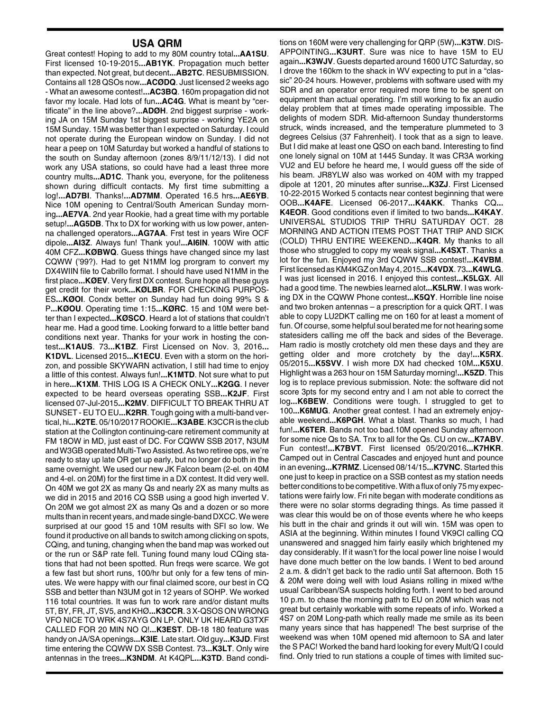## **USA QRM**

Great contest! Hoping to add to my 80M country total**...AA1SU**. First licensed 10-19-2015**...AB1YK**. Propagation much better than expected. Not great, but decent**...AB2TC**. RESUBMISSION. Contains all 128 QSOs now**...ACØDQ**. Just licensed 2 weeks ago - What an awesome contest!**...AC3BQ**. 160m propagation did not favor my locale. Had lots of fun**...AC4G**. What is meant by "certificate" in the line above?**...ADØH**. 2nd biggest surprise - working JA on 15M Sunday 1st biggest surprise - working YE2A on 15M Sunday. 15M was better than I expected on Saturday. I could not operate during the European window on Sunday. I did not hear a peep on 10M Saturday but worked a handful of stations to the south on Sunday afternoon (zones 8/9/11/12/13). I did not work any USA stations, so could have had a least three more country mults**...AD1C**. Thank you, everyone, for the politeness shown during difficult contacts. My first time submitting a log!**...AD7BI**. Thanks!**...AD7MM**. Operated 16.5 hrs**...AE6YB**. Nice 10M opening to Central/South American Sunday morning**...AE7VA**. 2nd year Rookie, had a great time with my portable setup!**...AG5DB**. Thx to DX for working with us low power, antenna challenged operators**...AG7AA**. Frst test in years Wire OCF dipole**...AI3Z**. Always fun! Thank you!**...AI6IN**. 100W with attic 40M CFZ**...KØBWQ**. Guess things have changed since my last CQWW ('99?). Had to get N1MM log prorgram to convert my DX4WIIN file to Cabrillo format. I should have used N1MM in the first place**...KØEV**. Very first DX contest. Sure hope all these guys get credit for their work**...KØLBR**. FOR CHECKING PURPOS-ES**...KØOI**. Condx better on Sunday had fun doing 99% S & P**...KØOU**. Operating time 1:15**...KØRC**. 15 and 10M were better than I expected**...KØSCO**. Heard a lot of stations that couldn't hear me. Had a good time. Looking forward to a little better band conditions next year. Thanks for your work in hosting the contest**...K1AUS**. 73**...K1BZ**. First Licensed on Nov. 3, 2016**... K1DVL**. Licensed 2015**...K1ECU**. Even with a storm on the horizon, and possible SKYWARN activation, I still had time to enjoy a little of this contest. Always fun!**...K1MTD**. Not sure what to put in here**...K1XM**. THIS LOG IS A CHECK ONLY**...K2GG**. I never expected to be heard overseas operating SSB**...K2JF**. First licensed 07-Jul-2015**...K2MV**. DIFFICULT TO BREAK THRU AT SUNSET - EU TO EU**...K2RR**. Tough going with a multi-band vertical, hi**...K2TE**. 05/10/2017 ROOKIE**...K3ABE**. K3CCR is the club station at the Collington continuing-care retirement community at FM 18OW in MD, just east of DC. For CQWW SSB 2017, N3UM and W3GB operated Multi-Two Assisted. As two retiree ops, we're ready to stay up late OR get up early, but no longer do both in the same overnight. We used our new JK Falcon beam (2-el. on 40M and 4-el. on 20M) for the first time in a DX contest. It did very well. On 40M we got 2X as many Qs and nearly 2X as many mults as we did in 2015 and 2016 CQ SSB using a good high inverted V. On 20M we got almost 2X as many Qs and a dozen or so more mults than in recent years, and made single-band DXCC. We were surprised at our good 15 and 10M results with SFI so low. We found it productive on all bands to switch among clicking on spots, CQing, and tuning, changing when the band map was worked out or the run or S&P rate fell. Tuning found many loud CQing stations that had not been spotted. Run freqs were scarce. We got a few fast but short runs, 100/hr but only for a few tens of minutes. We were happy with our final claimed score, our best in CQ SSB and better than N3UM got in 12 years of SOHP. We worked 116 total countries. It was fun to work rare and/or distant mults 5T, BY, FR, JT, SV5, and KHØ**...K3CCR**. 3 X-QSOS ON WRONG VFO NICE TO WRK 4S7AYG ON LP. ONLY UK HEARD G3TXF CALLED FOR 20 MIN NO Q!**...K3EST**. DB-18 180 feature was handy on JA/SA openings**...K3IE**. Late start. Old guy**...K3JD**. First time entering the CQWW DX SSB Contest. 73**...K3LT**. Only wire antennas in the trees**...K3NDM**. At K4QPL**...K3TD**. Band condi-

tions on 160M were very challenging for QRP (5W)**...K3TW**. DIS-APPOINTING**...K3URT**. Sure was nice to have 15M to EU again**...K3WJV**. Guests departed around 1600 UTC Saturday, so I drove the 160km to the shack in WV expecting to put in a "classic" 20-24 hours. However, problems with software used with my SDR and an operator error required more time to be spent on equipment than actual operating. I'm still working to fix an audio delay problem that at times made operating impossible. The delights of modern SDR. Mid-afternoon Sunday thunderstorms struck, winds increased, and the temperature plummeted to 3 degrees Celsius (37 Fahrenheit). I took that as a sign to leave. But I did make at least one QSO on each band. Interesting to find one lonely signal on 10M at 1445 Sunday. It was CR3A working VU2 and EU before he heard me, I would guess off the side of his beam. JR8YLW also was worked on 40M with my trapped dipole at 1201, 20 minutes after sunrise**...K3ZJ**. First Licensed 10-22-2015 Worked 5 contacts near contest beginning that were OOB**...K4AFE**. Licensed 06-2017**...K4AKK**. Thanks CQ**... K4EOR**. Good conditions even if limited to two bands**...K4KAY**. UNIVERSAL STUDIOS TRIP THRU SATURDAY OCT. 28 MORNING AND ACTION ITEMS POST THAT TRIP AND SICK (COLD) THRU ENTIRE WEEKEND**...K4QR**. My thanks to all those who struggled to copy my weak signal**...K4SXT**. Thanks a lot for the fun. Enjoyed my 3rd CQWW SSB contest!**...K4VBM**. First licensed as KM4KGZ on May 4, 2015**...K4VDX**. 73**...K4WLG**. I was just licensed in 2016. I enjoyed this contest**...K5LGX**. All had a good time. The newbies learned alot**...K5LRW**. I was working DX in the CQWW Phone contest**...K5QY**. Horrible line noise and two broken antennas – a prescription for a quick QRT. I was able to copy LU2DKT calling me on 160 for at least a moment of fun. Of course, some helpful soul berated me for not hearing some statesiders calling me off the back and sides of the Beverage. Ham radio is mostly crotchety old men these days and they are getting older and more crotchety by the day!**...K5RX**. 05/2015**...K5SVV**. I wish more DX had checked 10M**...K5XU**. Highlight was a 263 hour on 15M Saturday morning!**...K5ZD**. This log is to replace previous submission. Note: the software did not score 3pts for my second entry and I am not able to correct the log**...K6BEW**. Conditions were tough. I struggled to get to 100**...K6MUG**. Another great contest. I had an extremely enjoyable weekend**...K6PGH**. What a blast. Thanks so much, I had fun!**...K6TER**. Bands not too bad.10M opened Sunday afternoon for some nice Qs to SA. Tnx to all for the Qs. CU on cw**...K7ABV**. Fun contest!**...K7BVT**. First licensed 05/20/2016**...K7HKR**. Camped out in Central Cascades and enjoyed hunt and pounce in an evening**...K7RMZ**. Licensed 08/14/15**...K7VNC**. Started this one just to keep in practice on a SSB contest as my station needs better conditions to be competitive. With a flux of only 75 my expectations were fairly low. Fri nite began with moderate conditions as there were no solar storms degrading things. As time passed it was clear this would be on of those events where he who keeps his butt in the chair and grinds it out will win. 15M was open to ASIA at the beginning. Within minutes I found VK9CI calling CQ unanswered and snagged him fairly easily which brightened my day considerably. If it wasn't for the local power line noise I would have done much better on the low bands. I Went to bed around 2 a.m. & didn't get back to the radio until Sat afternoon. Both 15 & 20M were doing well with loud Asians rolling in mixed w/the usual Caribbean/SA suspects holding forth. I went to bed around 10 p.m. to chase the morning path to EU on 20M which was not great but certainly workable with some repeats of info. Worked a 4S7 on 20M Long-path which really made me smile as its been many years since that has happened! The best surprise of the weekend was when 10M opened mid afternoon to SA and later the S PAC! Worked the band hard looking for every Mult/Q I could find. Only tried to run stations a couple of times with limited suc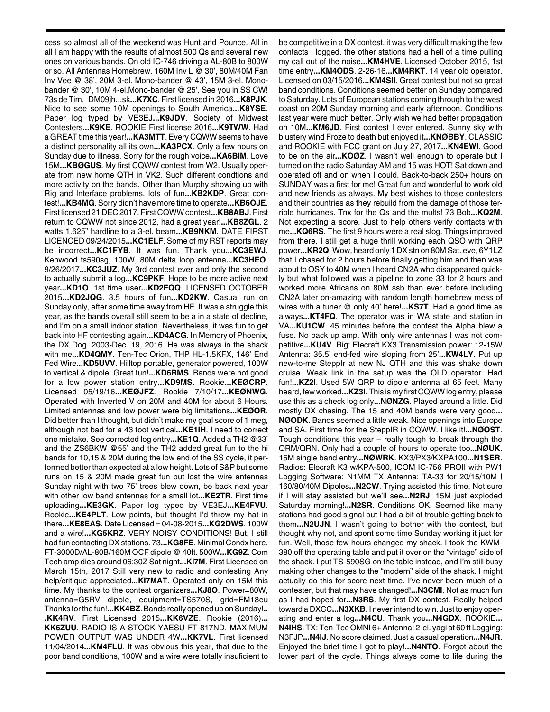cess so almost all of the weekend was Hunt and Pounce. All in all I am happy with the results of almost 500 Qs and several new ones on various bands. On old IC-746 driving a AL-80B to 800W or so. All Antennas Homebrew. 160M Inv L @ 30', 80M/40M Fan Inv Vee @ 38', 20M 3-el. Mono-bander @ 43', 15M 3-el. Monobander @ 30', 10M 4-el.Mono-bander @ 25'. See you in SS CW! 73s de Tim, DM09jh...sk**...K7XC**. First licensed in 2016**...K8PJK**. Nice to see some 10M openings to South America**...K8YSE**. Paper log typed by VE3EJ**...K9JDV**. Society of Midwest Contesters**...K9KE**. ROOKIE First license 2016**...K9TWW**. Had a GREAT time this year!**...KA3MTT**. Every CQWW seems to have a distinct personality all its own**...KA3PCX**. Only a few hours on Sunday due to illness. Sorry for the rough voice**...KA6BIM**. Love 15M**...KBØGUS**. My first CQWW contest from W2. Usually operate from new home QTH in VK2. Such different condtions and more activity on the bands. Other than Murphy showing up with Rig and Interface problems, lots of fun**...KB2KDP**. Great contest!**...KB4MG**. Sorry didn't have more time to operate**...KB6OJE**. First licensed 21 DEC 2017. First CQWW contest**...KB8ABJ**. First return to CQWW not since 2012, had a great year!**...KB8ZGL**. 2 watts 1.625" hardline to a 3-el. beam**...KB9NKM**. DATE FIRST LICENCED 09/24/2015**...KC1ELF**. Some of my RST reports may be incorrect**...KC1FYB**. It was fun. Thank you**...KC3EWJ**. Kenwood ts590sg, 100W, 80M delta loop antenna**...KC3HEO**. 9/26/2017**...KC3JUZ**. My 3rd contest ever and only the second to actually submit a log**...KC9PKF**. Hope to be more active next year**...KD1O**. 1st time user**...KD2FQQ**. LICENSED OCTOBER 2015**...KD2JQG**. 3.5 hours of fun**...KD2KW**. Casual run on Sunday only, after some time away from HF. It was a struggle this year, as the bands overall still seem to be a in a state of decline, and I'm on a small indoor station. Nevertheless, it was fun to get back into HF contesting again**...KD4ACG**. In Memory of Phoenix, the DX Dog. 2003-Dec. 19, 2016. He was always in the shack with me**...KD4QMY**. Ten-Tec Orion, THP HL-1.5KFX, 146' End Fed Wire**...KD5UVV**. Hilltop portable, generator powered, 100W to vertical & dipole. Great fun!**...KD6RMS**. Bands were not good for a low power station entry**...KD9MS**. Rookie**...KEØCRP**. Licensed 05/19/16**...KEØJFZ**. Rookie 7/10/17**...KEØNWG**. Operated with Inverted V on 20M and 40M for about 6 Hours. Limited antennas and low power were big limitations**...KEØOR**. Did better than I thought, but didn't make my goal score of 1 meg, although not bad for a 43 foot vertical**...KE1IH**. I need to correct one mistake. See corrected log entry**...KE1Q**. Added a TH2 @33' and the ZS6BKW @55' and the TH2 added great fun to the hi bands for 10,15 & 20M during the low end of the SS cycle, it performed better than expected at a low height. Lots of S&P but some runs on 15 & 20M made great fun but lost the wire antennas Sunday night with two 75' trees blew down, be back next year with other low band antennas for a small lot**...KE2TR**. First time uploading**...KE3GK**. Paper log typed by VE3EJ**...KE4FVU**. Rookie**...KE4PLT**. Low points, but thought I'd throw my hat in there**...KE8EAS**. Date Licensed = 04-08-2015**...KG2DWS**. 100W and a wire!**...KG5KRZ**. VERY NOISY CONDITIONS! But, I still had fun contacting DX stations. 73**...KG8FE**. Minimal Condx here. FT-3000D/AL-80B/160M OCF dipole @ 40ft. 500W**...KG9Z**. Com Tech amp dies around 06:30Z Sat night**...KI7M**. First Licensed on March 15th, 2017 Still very new to radio and contesting Any help/critique appreciated**...KI7MAT**. Operated only on 15M this time. My thanks to the contest organizers**...KJ8O**. Power=80W, antenna=G5RV dipole, equipment=TS570S, grid=FM18eu Thanks for the fun!**...KK4BZ**. Bands really opened up on Sunday!**.. .KK4RV**. First Licensed 2015**...KK6VZE**. Rookie (2016)**... KK6ZUU**. RADIO IS A STOCK YAESU FT-817ND. MAXIMUM POWER OUTPUT WAS UNDER 4W**...KK7VL**. First licensed 11/04/2014**...KM4FLU**. It was obvious this year, that due to the poor band conditions, 100W and a wire were totally insuficient to

be competitive in a DX contest. it was very difficult making the few contacts I logged. the other stations had a hell of a time pulling my call out of the noise**...KM4HVE**. Licensed October 2015, 1st time entry**...KM4ODS**. 2-26-16**...KM4RKT**. 14 year old operator. Licensed on 03/15/2016**...KM4SII**. Great contest but not so great band conditions. Conditions seemed better on Sunday compared to Saturday. Lots of European stations coming through to the west coast on 20M Sunday morning and early afternoon. Conditions last year were much better. Only wish we had better propagation on 10M**...KM6JD**. First contest I ever entered. Sunny sky with blustery wind Froze to death but enjoyed it**...KNØBBY**. CLASSIC and ROOKIE with FCC grant on July 27, 2017**...KN4EWI**. Good to be on the air**...KOØZ**. I wasn't well enough to operate but I turned on the radio Saturday AM and 15 was HOT! Sat down and operated off and on when I could. Back-to-back 250+ hours on SUNDAY was a first for me! Great fun and wonderful to work old and new friends as always. My best wishes to those contesters and their countries as they rebuild from the damage of those terrible hurricanes. Tnx for the Qs and the mults! 73 Bob**...KQ2M**. Not expecting a score. Just to help others verify contacts with me**...KQ6RS**. The first 9 hours were a real slog. Things improved from there. I still get a huge thrill working each QSO with QRP power**...KR2Q**. Wow, heard only 1 DX stn on 80M Sat. eve, 6Y1LZ that I chased for 2 hours before finally getting him and then was about to QSY to 40M when I heard CN2A who disappeared quickly but what followed was a pipeline to zone 33 for 2 hours and worked more Africans on 80M ssb than ever before including CN2A later on-amazing with random length homebrew mess of wires with a tuner @ only 40' here!**...KS7T**. Had a good time as always**...KT4FQ**. The operator was in WA state and station in VA**...KU1CW**. 45 minutes before the contest the Alpha blew a fuse. No back up amp. With only wire antennas I was not competitive**...KU4V**. Rig: Elecraft KX3 Transmission power: 12-15W Antenna: 35.5' end-fed wire sloping from 25'**...KW4LY**. Put up new-to-me SteppIr at new NJ QTH and this was shake down cruise. Weak link in the setup was the OLD operator. Had fun!**...KZ2I**. Used 5W QRP to dipole antenna at 65 feet. Many heard, few worked**...KZ3I**. This is my first CQWW log entry, please use this as a check log only**...NØNZG**. Played around a little. Did mostly DX chasing. The 15 and 40M bands were very good**... NØODK**. Bands seemed a little weak. Nice openings into Europe and SA. First time for the SteppIR in CQWW. I like it!**...NØOST**. Tough conditions this year – really tough to break through the QRM/QRN. Only had a couple of hours to operate too**...NØUK**. 15M single band entry**...NØWRK**. KX3/PX3/KXPA100**...N1SER**. Radios: Elecraft K3 w/KPA-500, ICOM IC-756 PROII with PW1 Logging Software: N1MM TX Antenna: TA-33 for 20/15/10M | 160/80/40M Dipoles**...N2CW**. Trying assisted this time. Not sure if I will stay assisted but we'll see**...N2RJ**. 15M just exploded Saturday morning!**...N2SR**. Conditions OK. Seemed like many stations had good signal but I had a bit of trouble getting back to them**...N2UJN**. I wasn't going to bother with the contest, but thought why not, and spent some time Sunday working it just for fun. Well, those few hours changed my shack. I took the KWM-380 off the operating table and put it over on the "vintage" side of the shack. I put TS-590SG on the table instead, and I'm still busy making other changes to the "modern" side of the shack. I might actually do this for score next time. I've never been much of a contester, but that may have changed!**...N3CMI**. Not as much fun as I had hoped for**...N3RS**. My first DX contest. Really helped toward a DXCC**...N3XKB**. I never intend to win. Just to enjoy operating and enter a log**...N4CU**. Thank you**...N4GDX**. ROOKIE**... N4IHS**. TX: Ten-Tec OMNI 6+ Antenna: 2-el. yagi at 60 ft Logging: N3FJP**...N4IJ**. No score claimed. Just a casual operation**...N4JR**. Enjoyed the brief time I got to play!**...N4NTO**. Forgot about the lower part of the cycle. Things always come to life during the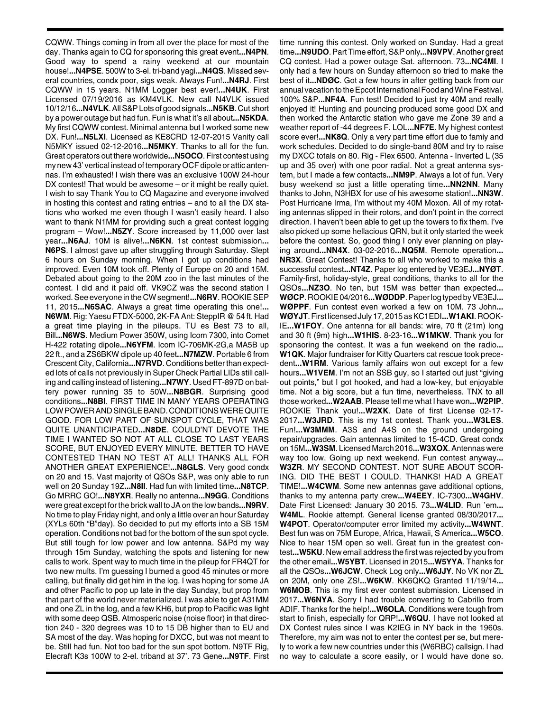CQWW. Things coming in from all over the place for most of the day. Thanks again to CQ for sponsoring this great event**...N4PN**. Good way to spend a rainy weekend at our mountain house!**...N4PSE**. 500W to 3-el. tri-band yagi**...N4QS**. Missed several countries, condx poor, sigs weak. Always Fun!**...N4RJ**. First CQWW in 15 years. N1MM Logger best ever!**...N4UK**. First Licensed 07/19/2016 as KM4VLK. New call N4VLK issued 10/12/16**...N4VLK**. All S&P Lots of good signals**...N5KB**. Cut short by a power outage but had fun. Fun is what it's all about**...N5KDA**. My first CQWW contest. Minimal antenna but I worked some new DX. Fun!**...N5LXI**. Licensed as KE8CRD 12-07-2015 Vanity call N5MKY issued 02-12-2016**...N5MKY**. Thanks to all for the fun. Great operators out there worldwide**...N5OCO**. First contest using my new 43' vertical instead of temporary OCF dipole or attic antennas. I'm exhausted! I wish there was an exclusive 100W 24-hour DX contest! That would be awesome – or it might be really quiet. I wish to say Thank You to CQ Magazine and everyone involved in hosting this contest and rating entries – and to all the DX stations who worked me even though I wasn't easily heard. I also want to thank N1MM for providing such a great contest logging program – Wow!**...N5ZY**. Score increased by 11,000 over last year**...N6AJ**. 10M is alive!**...N6KN**. 1st contest submission**... N6PS**. I almost gave up after struggling through Saturday. Slept 6 hours on Sunday morning. When I got up conditions had improved. Even 10M took off. Plenty of Europe on 20 and 15M. Debated about going to the 20M zoo in the last minutes of the contest. I did and it paid off. VK9CZ was the second station I worked. See everyone in the CW segment!**...N6RV**. ROOKIE SEP 11, 2015**...N6SAC**. Always a great time operating this one!**... N6WM**. Rig: Yaesu FTDX-5000, 2K-FA Ant: SteppIR @ 54 ft. Had a great time playing in the pileups. TU es Best 73 to all, Bill**...N6WS**. Medium Power 350W, using Icom 7300, into Comet H-422 rotating dipole**...N6YFM**. Icom IC-706MK-2G,a MA5B up 22 ft., and a ZS6BKW dipole up 40 feet**...N7MZW**. Portable 6 from Crescent City, California**...N7RVD**. Conditions better than expected lots of calls not previously in Super Check Partial LIDs still calling and calling instead of listening**...N7WY**. Used FT-897D on battery power running 35 to 50W**...N8BGR**. Surprising good conditions**...N8BI**. FIRST TIME IN MANY YEARS OPERATING LOW POWER AND SINGLE BAND. CONDITIONS WERE QUITE GOOD. FOR LOW PART OF SUNSPOT CYCLE, THAT WAS QUITE UNANTICIPATED**...N8DE**. COULD'NT DEVOTE THE TIME I WANTED SO NOT AT ALL CLOSE TO LAST YEARS SCORE, BUT ENJOYED EVERY MINUTE. BETTER TO HAVE CONTESTED THAN NO TEST AT ALL! THANKS ALL FOR ANOTHER GREAT EXPERIENCE!**...N8GLS**. Very good condx on 20 and 15. Vast majority of QSOs S&P, was only able to run well on 20 Sunday 19Z**...N8II**. Had fun with limited time**...N8TCP**. Go MRRC GO!**...N8YXR**. Really no antenna**...N9GG**. Conditions were great except for the brick wall to JA on the low bands**...N9RV**. No time to play Friday night, and only a little over an hour Saturday (XYLs 60th "B"day). So decided to put my efforts into a SB 15M operation. Conditions not bad for the bottom of the sun spot cycle. But still tough for low power and low antenna. S&Pd my way through 15m Sunday, watching the spots and listening for new calls to work. Spent way to much time in the pileup for FR4QT for two new mults. I'm guessing I burned a good 45 minutes or more calling, but finally did get him in the log. I was hoping for some JA and other Pacific to pop up late in the day Sunday, but prop from that part of the world never materialized. I was able to get A31MM and one ZL in the log, and a few KH6, but prop to Pacific was light with some deep QSB. Atmosperic noise (noise floor) in that direction 240 - 320 degrees was 10 to 15 DB higher than to EU and SA most of the day. Was hoping for DXCC, but was not meant to be. Still had fun. Not too bad for the sun spot bottom. N9TF Rig, Elecraft K3s 100W to 2-el. triband at 37'. 73 Gene**...N9TF**. First

time running this contest. Only worked on Sunday. Had a great time**...N9UDO**. Part Time effort, S&P only**...N9VPV**. Another great CQ contest. Had a power outage Sat. afternoon. 73**...NC4MI**. I only had a few hours on Sunday afternoon so tried to make the best of it**...NDØC**. Got a few hours in after getting back from our annual vacation to the Epcot International Food and Wine Festival. 100% S&P**...NF4A**. Fun test! Decided to just try 40M and really enjoyed it! Hunting and pouncing produced some good DX and then worked the Antarctic station who gave me Zone 39 and a weather report of -44 degrees F. LOL**...NF7E**. My highest contest score ever!**...NK8Q**. Only a very part time effort due to famiy and work schedules. Decided to do single-band 80M and try to raise my DXCC totals on 80. Rig - Flex 6500. Antenna - Inverted L (35 up and 35 over) with one poor radial. Not a great antenna system, but I made a few contacts**...NM9P**. Always a lot of fun. Very busy weekend so just a little operating time**...NN2NN**. Many thanks to John, N3HBX for use of his awesome station!**...NN3W**. Post Hurricane Irma, I'm without my 40M Moxon. All of my rotating antennas slipped in their rotors, and don't point in the correct direction. I haven't been able to get up the towers to fix them. I've also picked up some hellacious QRN, but it only started the week before the contest. So, good thing I only ever planning on playing around**...NN4X**. 03-02-2016**...NQ5M**. Remote operation**... NR3X**. Great Contest! Thanks to all who worked to make this a successful contest**...NT4Z**. Paper log entered by VE3EJ**...NYØT**. Family-first, holiday-style, great conditions, thanks to all for the QSOs**...NZ3O**. No ten, but 15M was better than expected**... WØCP**. ROOKIE 04/2016**...WØDDP**. Paper log typed by VE3EJ**... WØPPF**. Fun contest even worked a few on 10M. 73 John**... WØYJT**. First licensed July 17, 2015 as KC1EDI**...W1AKI**. ROOK-IE**...W1FOY**. One antenna for all bands: wire, 70 ft (21m) long and 30 ft (9m) high**...W1HIS**. 8-23-16**...W1MKW**. Thank you for sponsoring the contest. It was a fun weekend on the radio**... W1QK**. Major fundraiser for Kitty Quarters cat rescue took precedent**...W1RM**. Various family affairs won out except for a few hours**...W1VEM**. I'm not an SSB guy, so I started out just "giving out points," but I got hooked, and had a low-key, but enjoyable time. Not a big score, but a fun time, nevertheless. TNX to all those worked**...W2AAB**. Please tell me what I have won**...W2PIP**. ROOKIE Thank you!**...W2XK**. Date of first License 02-17- 2017**...W3JRD**. This is my 1st contest. Thank you**...W3LES**. Fun!**...W3MMM**. A3S and A4S on the ground undergoing repair/upgrades. Gain antennas limited to 15-4CD. Great condx on 15M**...W3SM**. Licensed March 2016**...W3XOX**. Antennas were way too low. Going up next weekend. Fun contest anyway**... W3ZR**. MY SECOND CONTEST. NOT SURE ABOUT SCOR-ING. DID THE BEST I COULD. THANKS! HAD A GREAT TIME!**...W4CWM**. Some new antennas gave additional options, thanks to my antenna party crew**...W4EEY**. IC-7300**...W4GHV**. Date First Licensed: January 30 2015. 73**...W4LID**. Run 'em**... W4ML**. Rookie attempt. General license granted 08/30/2017**... W4POT**. Operator/computer error limited my activity**...W4WNT**. Best fun was on 75M Europe, Africa, Hawaii, S America**...W5CO**. Nice to hear 15M open so well. Great fun in the greatest contest**...W5KU**. New email address the first was rejected by you from the other email**...W5YBT**. Licensed in 2015**...W5YYA**. Thanks for all the QSOs**...W6JCW**. Check Log only**...W6JJY**. No VK nor ZL on 20M, only one ZS!**...W6KW**. KK6QKQ Granted 11/19/14**... W6MOB**. This is my first ever contest submission. Licensed in 2017**...W6NYA**. Sorry I had trouble converting to Cabrillo from ADIF. Thanks for the help!**...W6OLA**. Conditions were tough from start to finish, especially for QRP!**...W6QU**. I have not looked at DX Contest rules since I was K2IEG in NY back in the 1960s. Therefore, my aim was not to enter the contest per se, but merely to work a few new countries under this (W6RBC) callsign. I had no way to calculate a score easily, or I would have done so.